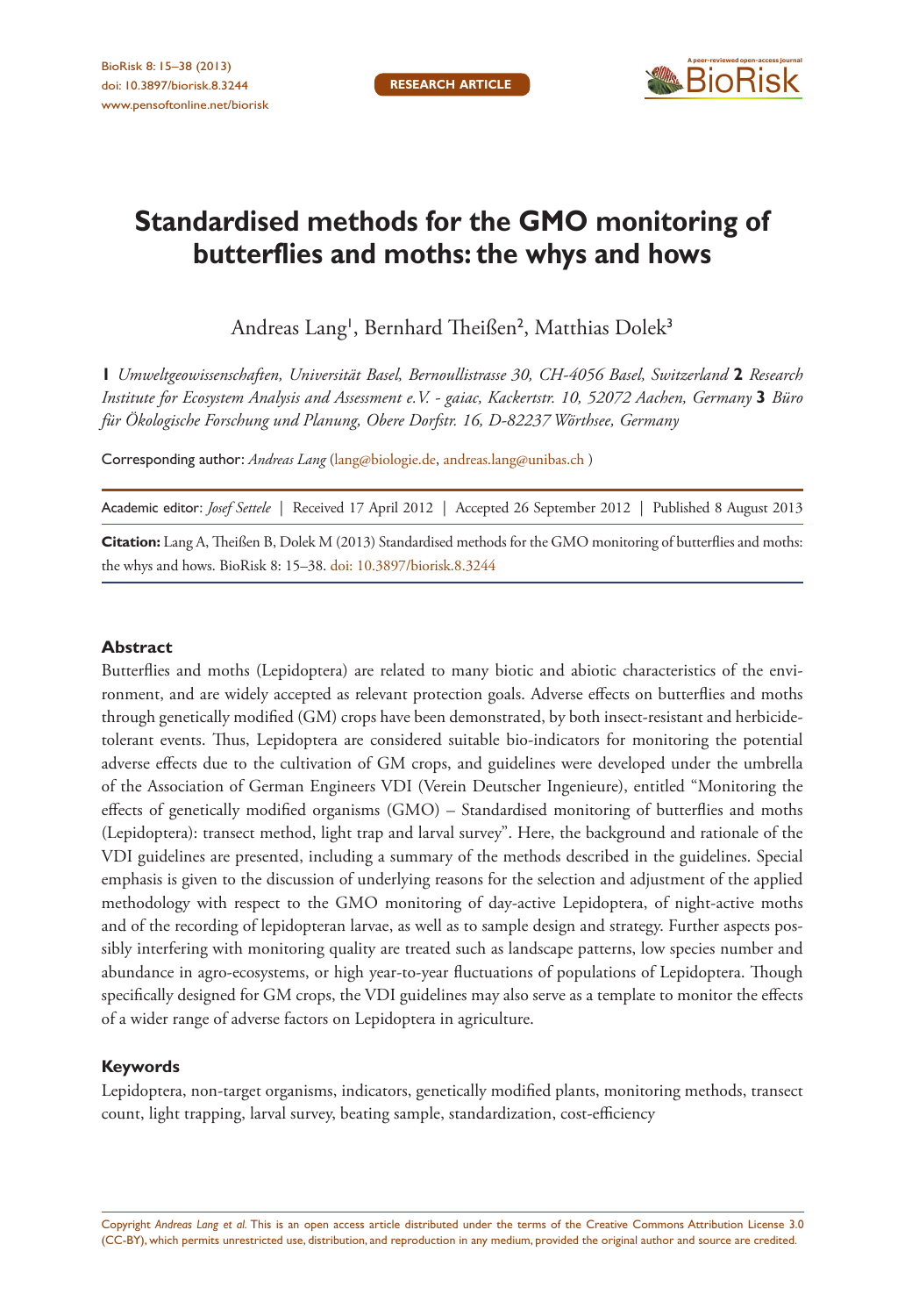

# **Standardised methods for the GMO monitoring of butterflies and moths: the whys and hows**

Andreas Lang', Bernhard Theißen<sup>2</sup>, Matthias Dolek<sup>3</sup>

**1** *Umweltgeowissenschaften, Universität Basel, Bernoullistrasse 30, CH-4056 Basel, Switzerland* **2** *Research Institute for Ecosystem Analysis and Assessment e.V. - gaiac, Kackertstr. 10, 52072 Aachen, Germany* **3** *Büro für Ökologische Forschung und Planung, Obere Dorfstr. 16, D-82237 Wörthsee, Germany*

Corresponding author: *Andreas Lang* ([lang@biologie.de](mailto:lang@biologie.de), [andreas.lang@unibas.ch](mailto:andreas.lang@unibas.ch) )

|  |  | Academic editor: <i>Josef Settele</i>   Received 17 April 2012   Accepted 26 September 2012   Published 8 August 2013 |  |
|--|--|-----------------------------------------------------------------------------------------------------------------------|--|
|--|--|-----------------------------------------------------------------------------------------------------------------------|--|

**Citation:** Lang A, Theißen B, Dolek M (2013) Standardised methods for the GMO monitoring of butterflies and moths: the whys and hows. BioRisk 8: 15–38. [doi: 10.3897/biorisk.8.3244](http://dx.doi.org/10.3897/biorisk.8.3244)

#### **Abstract**

Butterflies and moths (Lepidoptera) are related to many biotic and abiotic characteristics of the environment, and are widely accepted as relevant protection goals. Adverse effects on butterflies and moths through genetically modified (GM) crops have been demonstrated, by both insect-resistant and herbicidetolerant events. Thus, Lepidoptera are considered suitable bio-indicators for monitoring the potential adverse effects due to the cultivation of GM crops, and guidelines were developed under the umbrella of the Association of German Engineers VDI (Verein Deutscher Ingenieure), entitled "Monitoring the effects of genetically modified organisms (GMO) – Standardised monitoring of butterflies and moths (Lepidoptera): transect method, light trap and larval survey". Here, the background and rationale of the VDI guidelines are presented, including a summary of the methods described in the guidelines. Special emphasis is given to the discussion of underlying reasons for the selection and adjustment of the applied methodology with respect to the GMO monitoring of day-active Lepidoptera, of night-active moths and of the recording of lepidopteran larvae, as well as to sample design and strategy. Further aspects possibly interfering with monitoring quality are treated such as landscape patterns, low species number and abundance in agro-ecosystems, or high year-to-year fluctuations of populations of Lepidoptera. Though specifically designed for GM crops, the VDI guidelines may also serve as a template to monitor the effects of a wider range of adverse factors on Lepidoptera in agriculture.

#### **Keywords**

Lepidoptera, non-target organisms, indicators, genetically modified plants, monitoring methods, transect count, light trapping, larval survey, beating sample, standardization, cost-efficiency

Copyright *Andreas Lang et al.* This is an open access article distributed under the terms of the [Creative Commons Attribution License 3.0](http://creativecommons.org/licenses/by/3.0/)  [\(CC-BY\),](http://creativecommons.org/licenses/by/3.0/) which permits unrestricted use, distribution, and reproduction in any medium, provided the original author and source are credited.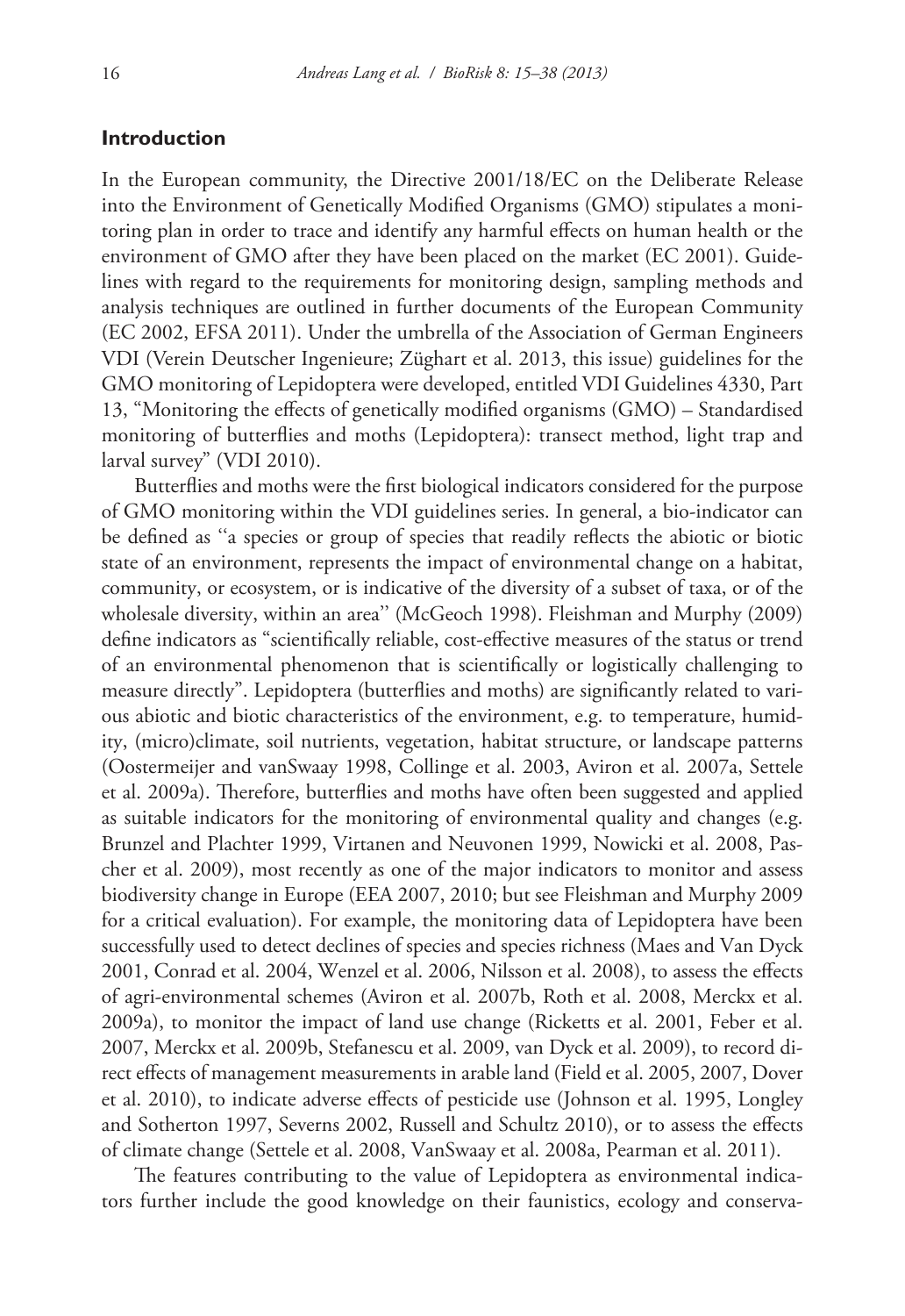# **Introduction**

In the European community, the Directive 2001/18/EC on the Deliberate Release into the Environment of Genetically Modified Organisms (GMO) stipulates a monitoring plan in order to trace and identify any harmful effects on human health or the environment of GMO after they have been placed on the market (EC 2001). Guidelines with regard to the requirements for monitoring design, sampling methods and analysis techniques are outlined in further documents of the European Community (EC 2002, EFSA 2011). Under the umbrella of the Association of German Engineers VDI (Verein Deutscher Ingenieure; Züghart et al. 2013, this issue) guidelines for the GMO monitoring of Lepidoptera were developed, entitled VDI Guidelines 4330, Part 13, "Monitoring the effects of genetically modified organisms (GMO) – Standardised monitoring of butterflies and moths (Lepidoptera): transect method, light trap and larval survey" (VDI 2010).

Butterflies and moths were the first biological indicators considered for the purpose of GMO monitoring within the VDI guidelines series. In general, a bio-indicator can be defined as ''a species or group of species that readily reflects the abiotic or biotic state of an environment, represents the impact of environmental change on a habitat, community, or ecosystem, or is indicative of the diversity of a subset of taxa, or of the wholesale diversity, within an area'' (McGeoch 1998). Fleishman and Murphy (2009) define indicators as "scientifically reliable, cost-effective measures of the status or trend of an environmental phenomenon that is scientifically or logistically challenging to measure directly". Lepidoptera (butterflies and moths) are significantly related to various abiotic and biotic characteristics of the environment, e.g. to temperature, humidity, (micro)climate, soil nutrients, vegetation, habitat structure, or landscape patterns (Oostermeijer and vanSwaay 1998, Collinge et al. 2003, Aviron et al. 2007a, Settele et al. 2009a). Therefore, butterflies and moths have often been suggested and applied as suitable indicators for the monitoring of environmental quality and changes (e.g. Brunzel and Plachter 1999, Virtanen and Neuvonen 1999, Nowicki et al. 2008, Pascher et al. 2009), most recently as one of the major indicators to monitor and assess biodiversity change in Europe (EEA 2007, 2010; but see Fleishman and Murphy 2009 for a critical evaluation). For example, the monitoring data of Lepidoptera have been successfully used to detect declines of species and species richness (Maes and Van Dyck 2001, Conrad et al. 2004, Wenzel et al. 2006, Nilsson et al. 2008), to assess the effects of agri-environmental schemes (Aviron et al. 2007b, Roth et al. 2008, Merckx et al. 2009a), to monitor the impact of land use change (Ricketts et al. 2001, Feber et al. 2007, Merckx et al. 2009b, Stefanescu et al. 2009, van Dyck et al. 2009), to record direct effects of management measurements in arable land (Field et al. 2005, 2007, Dover et al. 2010), to indicate adverse effects of pesticide use (Johnson et al. 1995, Longley and Sotherton 1997, Severns 2002, Russell and Schultz 2010), or to assess the effects of climate change (Settele et al. 2008, VanSwaay et al. 2008a, Pearman et al. 2011).

The features contributing to the value of Lepidoptera as environmental indicators further include the good knowledge on their faunistics, ecology and conserva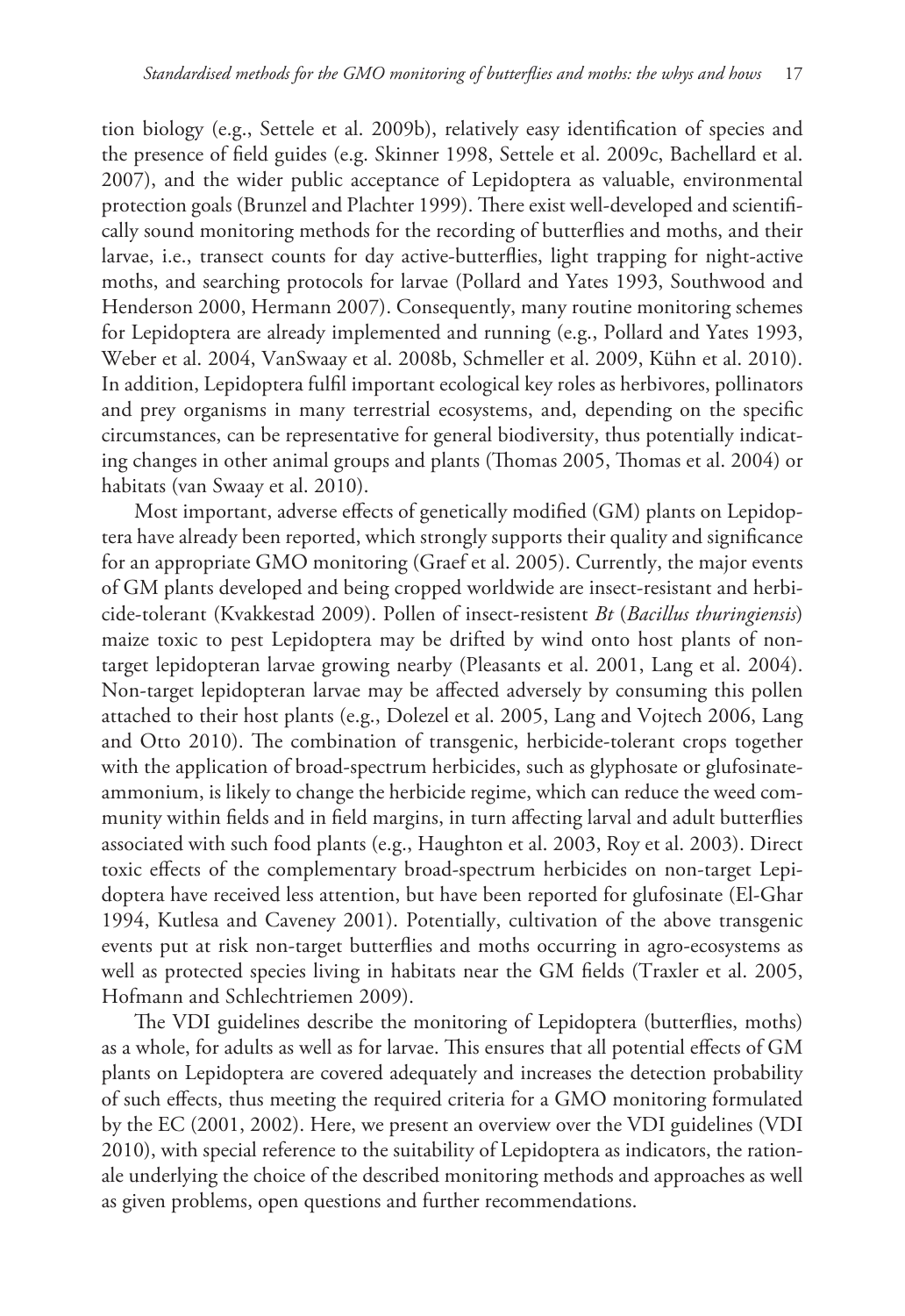tion biology (e.g., Settele et al. 2009b), relatively easy identification of species and the presence of field guides (e.g. Skinner 1998, Settele et al. 2009c, Bachellard et al. 2007), and the wider public acceptance of Lepidoptera as valuable, environmental protection goals (Brunzel and Plachter 1999). There exist well-developed and scientifically sound monitoring methods for the recording of butterflies and moths, and their larvae, i.e., transect counts for day active-butterflies, light trapping for night-active moths, and searching protocols for larvae (Pollard and Yates 1993, Southwood and Henderson 2000, Hermann 2007). Consequently, many routine monitoring schemes for Lepidoptera are already implemented and running (e.g., Pollard and Yates 1993, Weber et al. 2004, VanSwaay et al. 2008b, Schmeller et al. 2009, Kühn et al. 2010). In addition, Lepidoptera fulfil important ecological key roles as herbivores, pollinators and prey organisms in many terrestrial ecosystems, and, depending on the specific circumstances, can be representative for general biodiversity, thus potentially indicating changes in other animal groups and plants (Thomas 2005, Thomas et al. 2004) or habitats (van Swaay et al. 2010).

Most important, adverse effects of genetically modified (GM) plants on Lepidoptera have already been reported, which strongly supports their quality and significance for an appropriate GMO monitoring (Graef et al. 2005). Currently, the major events of GM plants developed and being cropped worldwide are insect-resistant and herbicide-tolerant (Kvakkestad 2009). Pollen of insect-resistent *Bt* (*Bacillus thuringiensis*) maize toxic to pest Lepidoptera may be drifted by wind onto host plants of nontarget lepidopteran larvae growing nearby (Pleasants et al. 2001, Lang et al. 2004). Non-target lepidopteran larvae may be affected adversely by consuming this pollen attached to their host plants (e.g., Dolezel et al. 2005, Lang and Vojtech 2006, Lang and Otto 2010). The combination of transgenic, herbicide-tolerant crops together with the application of broad-spectrum herbicides, such as glyphosate or glufosinateammonium, is likely to change the herbicide regime, which can reduce the weed community within fields and in field margins, in turn affecting larval and adult butterflies associated with such food plants (e.g., Haughton et al. 2003, Roy et al. 2003). Direct toxic effects of the complementary broad-spectrum herbicides on non-target Lepidoptera have received less attention, but have been reported for glufosinate (El-Ghar 1994, Kutlesa and Caveney 2001). Potentially, cultivation of the above transgenic events put at risk non-target butterflies and moths occurring in agro-ecosystems as well as protected species living in habitats near the GM fields (Traxler et al. 2005, Hofmann and Schlechtriemen 2009).

The VDI guidelines describe the monitoring of Lepidoptera (butterflies, moths) as a whole, for adults as well as for larvae. This ensures that all potential effects of GM plants on Lepidoptera are covered adequately and increases the detection probability of such effects, thus meeting the required criteria for a GMO monitoring formulated by the EC (2001, 2002). Here, we present an overview over the VDI guidelines (VDI 2010), with special reference to the suitability of Lepidoptera as indicators, the rationale underlying the choice of the described monitoring methods and approaches as well as given problems, open questions and further recommendations.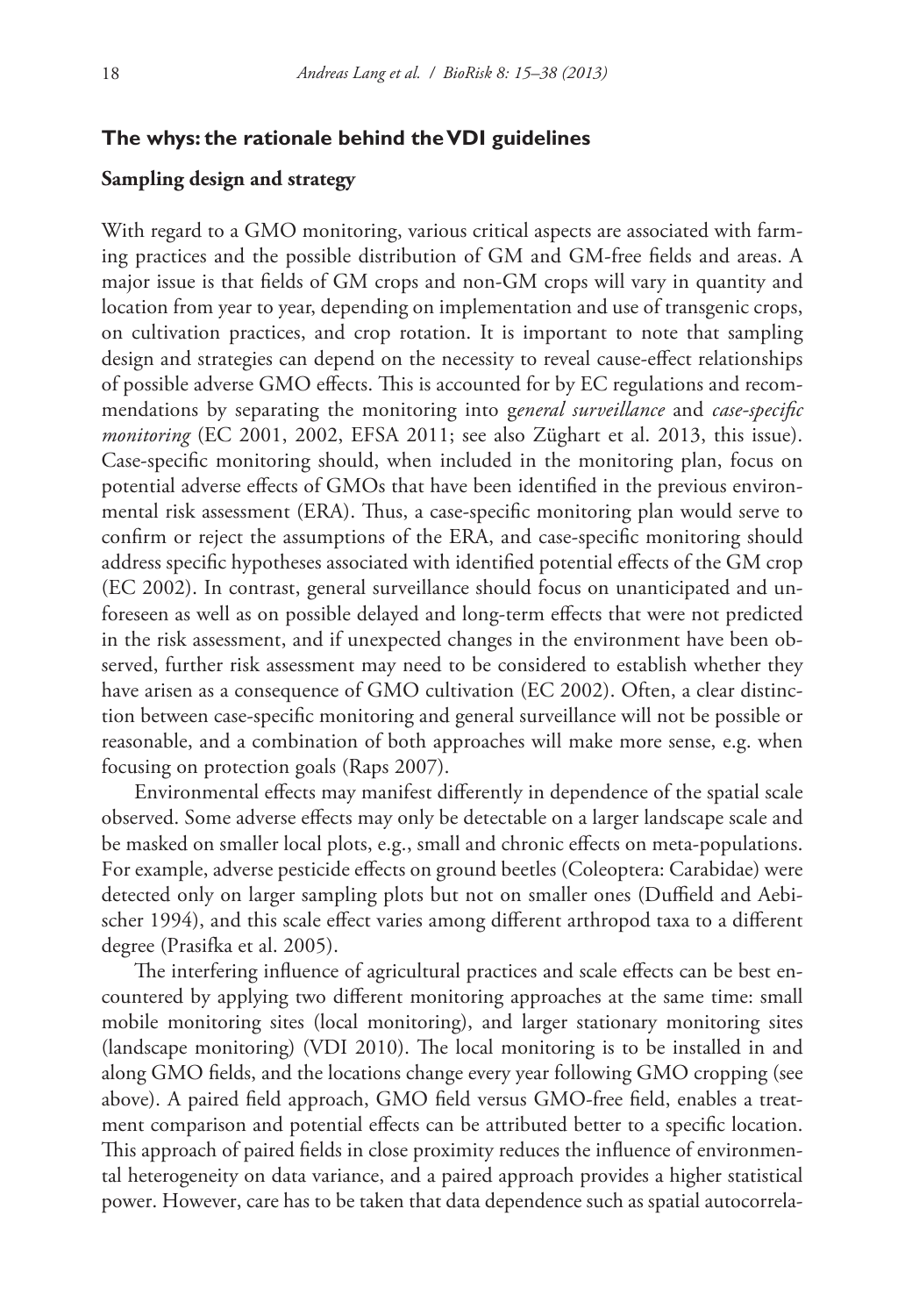## **The whys: the rationale behind the VDI guidelines**

# **Sampling design and strategy**

With regard to a GMO monitoring, various critical aspects are associated with farming practices and the possible distribution of GM and GM-free fields and areas. A major issue is that fields of GM crops and non-GM crops will vary in quantity and location from year to year, depending on implementation and use of transgenic crops, on cultivation practices, and crop rotation. It is important to note that sampling design and strategies can depend on the necessity to reveal cause-effect relationships of possible adverse GMO effects. This is accounted for by EC regulations and recommendations by separating the monitoring into g*eneral surveillance* and *case-specific monitoring* (EC 2001, 2002, EFSA 2011; see also Züghart et al. 2013, this issue). Case-specific monitoring should, when included in the monitoring plan, focus on potential adverse effects of GMOs that have been identified in the previous environmental risk assessment (ERA). Thus, a case-specific monitoring plan would serve to confirm or reject the assumptions of the ERA, and case-specific monitoring should address specific hypotheses associated with identified potential effects of the GM crop (EC 2002). In contrast, general surveillance should focus on unanticipated and unforeseen as well as on possible delayed and long-term effects that were not predicted in the risk assessment, and if unexpected changes in the environment have been observed, further risk assessment may need to be considered to establish whether they have arisen as a consequence of GMO cultivation (EC 2002). Often, a clear distinction between case-specific monitoring and general surveillance will not be possible or reasonable, and a combination of both approaches will make more sense, e.g. when focusing on protection goals (Raps 2007).

Environmental effects may manifest differently in dependence of the spatial scale observed. Some adverse effects may only be detectable on a larger landscape scale and be masked on smaller local plots, e.g., small and chronic effects on meta-populations. For example, adverse pesticide effects on ground beetles (Coleoptera: Carabidae) were detected only on larger sampling plots but not on smaller ones (Duffield and Aebischer 1994), and this scale effect varies among different arthropod taxa to a different degree (Prasifka et al. 2005).

The interfering influence of agricultural practices and scale effects can be best encountered by applying two different monitoring approaches at the same time: small mobile monitoring sites (local monitoring), and larger stationary monitoring sites (landscape monitoring) (VDI 2010). The local monitoring is to be installed in and along GMO fields, and the locations change every year following GMO cropping (see above). A paired field approach, GMO field versus GMO-free field, enables a treatment comparison and potential effects can be attributed better to a specific location. This approach of paired fields in close proximity reduces the influence of environmental heterogeneity on data variance, and a paired approach provides a higher statistical power. However, care has to be taken that data dependence such as spatial autocorrela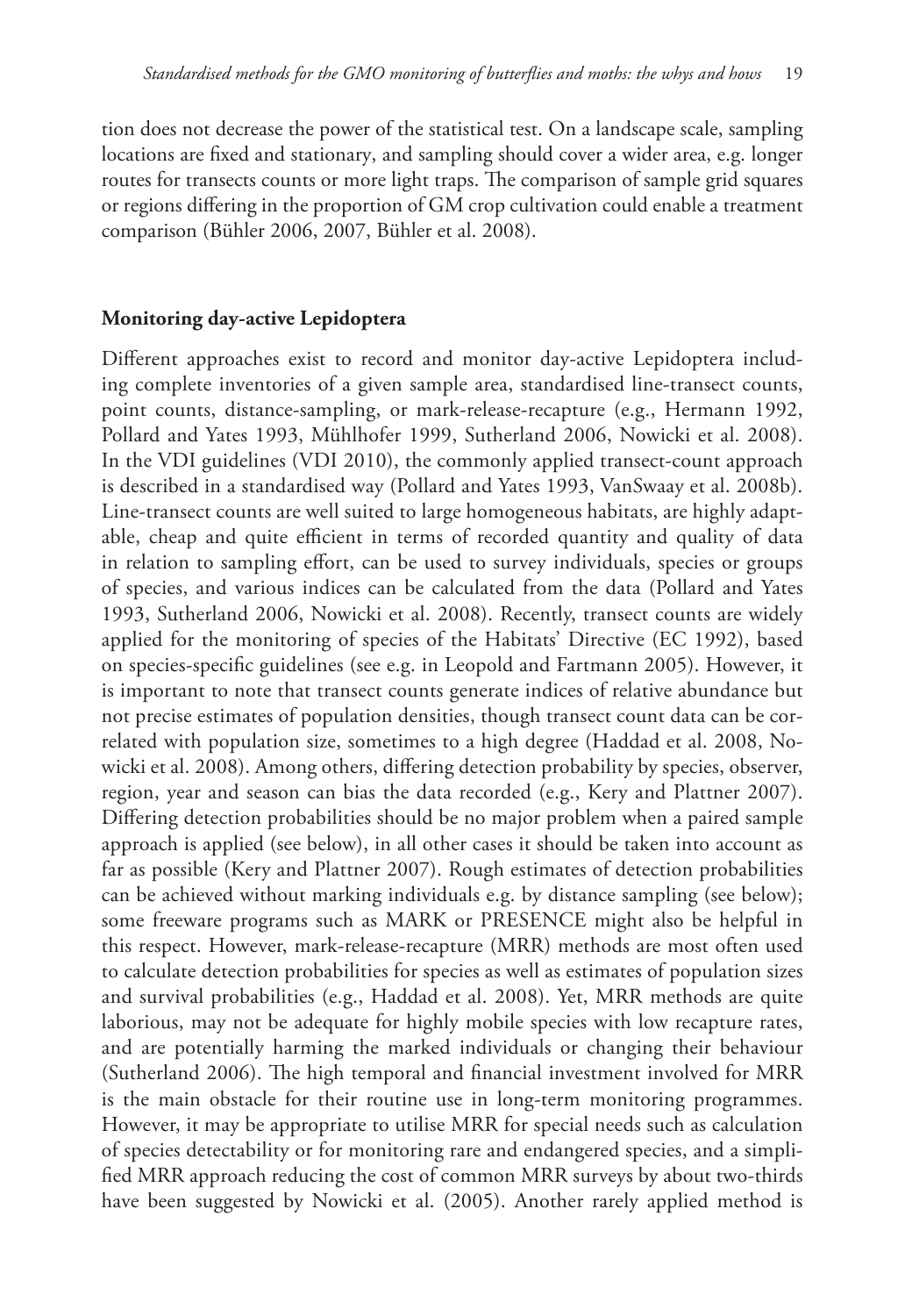tion does not decrease the power of the statistical test. On a landscape scale, sampling locations are fixed and stationary, and sampling should cover a wider area, e.g. longer routes for transects counts or more light traps. The comparison of sample grid squares or regions differing in the proportion of GM crop cultivation could enable a treatment comparison (Bühler 2006, 2007, Bühler et al. 2008).

# **Monitoring day-active Lepidoptera**

Different approaches exist to record and monitor day-active Lepidoptera including complete inventories of a given sample area, standardised line-transect counts, point counts, distance-sampling, or mark-release-recapture (e.g., Hermann 1992, Pollard and Yates 1993, Mühlhofer 1999, Sutherland 2006, Nowicki et al. 2008). In the VDI guidelines (VDI 2010), the commonly applied transect-count approach is described in a standardised way (Pollard and Yates 1993, VanSwaay et al. 2008b). Line-transect counts are well suited to large homogeneous habitats, are highly adaptable, cheap and quite efficient in terms of recorded quantity and quality of data in relation to sampling effort, can be used to survey individuals, species or groups of species, and various indices can be calculated from the data (Pollard and Yates 1993, Sutherland 2006, Nowicki et al. 2008). Recently, transect counts are widely applied for the monitoring of species of the Habitats' Directive (EC 1992), based on species-specific guidelines (see e.g. in Leopold and Fartmann 2005). However, it is important to note that transect counts generate indices of relative abundance but not precise estimates of population densities, though transect count data can be correlated with population size, sometimes to a high degree (Haddad et al. 2008, Nowicki et al. 2008). Among others, differing detection probability by species, observer, region, year and season can bias the data recorded (e.g., Kery and Plattner 2007). Differing detection probabilities should be no major problem when a paired sample approach is applied (see below), in all other cases it should be taken into account as far as possible (Kery and Plattner 2007). Rough estimates of detection probabilities can be achieved without marking individuals e.g. by distance sampling (see below); some freeware programs such as MARK or PRESENCE might also be helpful in this respect. However, mark-release-recapture (MRR) methods are most often used to calculate detection probabilities for species as well as estimates of population sizes and survival probabilities (e.g., Haddad et al. 2008). Yet, MRR methods are quite laborious, may not be adequate for highly mobile species with low recapture rates, and are potentially harming the marked individuals or changing their behaviour (Sutherland 2006). The high temporal and financial investment involved for MRR is the main obstacle for their routine use in long-term monitoring programmes. However, it may be appropriate to utilise MRR for special needs such as calculation of species detectability or for monitoring rare and endangered species, and a simplified MRR approach reducing the cost of common MRR surveys by about two-thirds have been suggested by Nowicki et al. (2005). Another rarely applied method is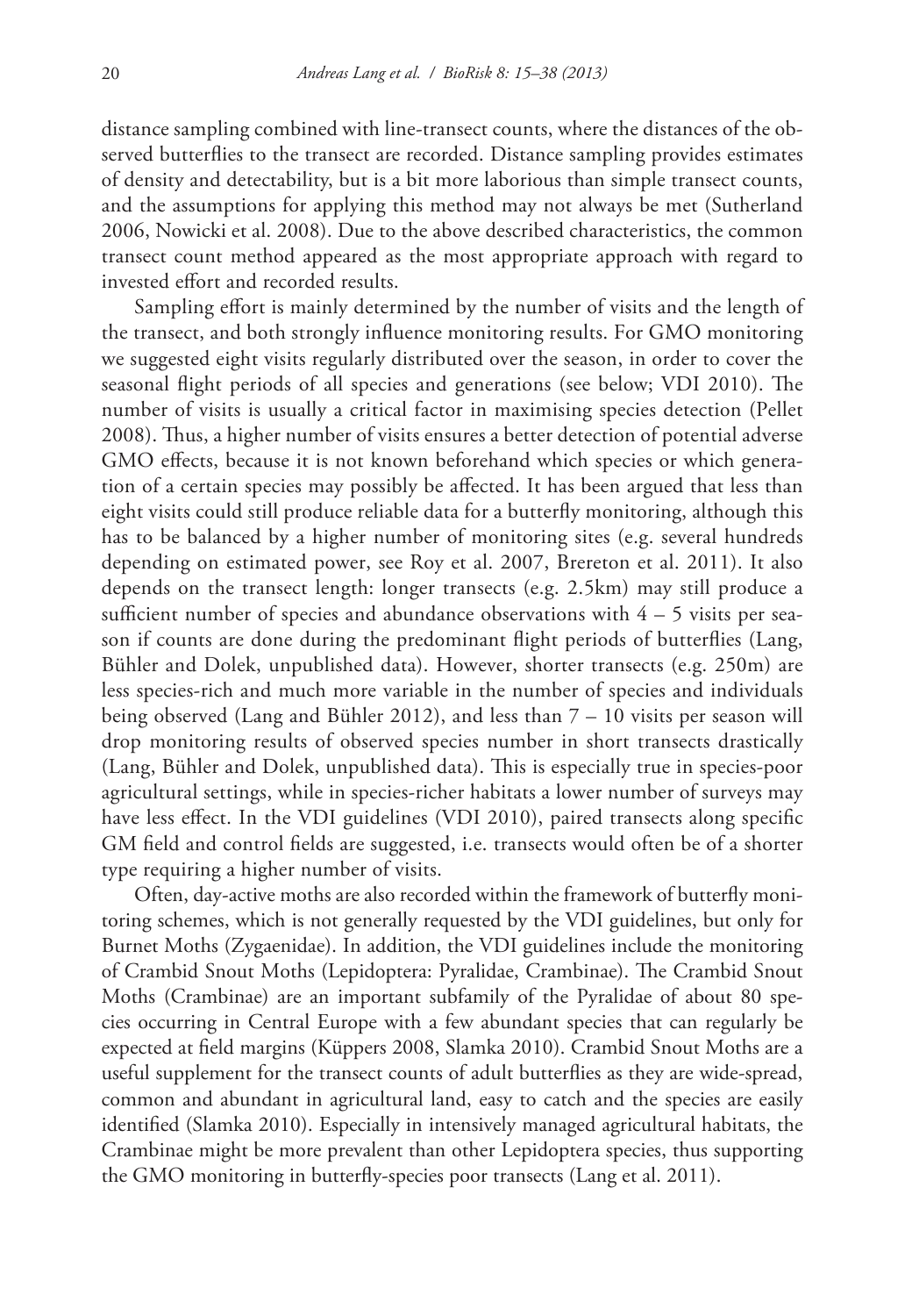distance sampling combined with line-transect counts, where the distances of the observed butterflies to the transect are recorded. Distance sampling provides estimates of density and detectability, but is a bit more laborious than simple transect counts, and the assumptions for applying this method may not always be met (Sutherland 2006, Nowicki et al. 2008). Due to the above described characteristics, the common transect count method appeared as the most appropriate approach with regard to invested effort and recorded results.

Sampling effort is mainly determined by the number of visits and the length of the transect, and both strongly influence monitoring results. For GMO monitoring we suggested eight visits regularly distributed over the season, in order to cover the seasonal flight periods of all species and generations (see below; VDI 2010). The number of visits is usually a critical factor in maximising species detection (Pellet 2008). Thus, a higher number of visits ensures a better detection of potential adverse GMO effects, because it is not known beforehand which species or which generation of a certain species may possibly be affected. It has been argued that less than eight visits could still produce reliable data for a butterfly monitoring, although this has to be balanced by a higher number of monitoring sites (e.g. several hundreds depending on estimated power, see Roy et al. 2007, Brereton et al. 2011). It also depends on the transect length: longer transects (e.g. 2.5km) may still produce a sufficient number of species and abundance observations with  $4 - 5$  visits per season if counts are done during the predominant flight periods of butterflies (Lang, Bühler and Dolek, unpublished data). However, shorter transects (e.g. 250m) are less species-rich and much more variable in the number of species and individuals being observed (Lang and Bühler 2012), and less than 7 – 10 visits per season will drop monitoring results of observed species number in short transects drastically (Lang, Bühler and Dolek, unpublished data). This is especially true in species-poor agricultural settings, while in species-richer habitats a lower number of surveys may have less effect. In the VDI guidelines (VDI 2010), paired transects along specific GM field and control fields are suggested, i.e. transects would often be of a shorter type requiring a higher number of visits.

Often, day-active moths are also recorded within the framework of butterfly monitoring schemes, which is not generally requested by the VDI guidelines, but only for Burnet Moths (Zygaenidae). In addition, the VDI guidelines include the monitoring of Crambid Snout Moths (Lepidoptera: Pyralidae, Crambinae). The Crambid Snout Moths (Crambinae) are an important subfamily of the Pyralidae of about 80 species occurring in Central Europe with a few abundant species that can regularly be expected at field margins (Küppers 2008, Slamka 2010). Crambid Snout Moths are a useful supplement for the transect counts of adult butterflies as they are wide-spread, common and abundant in agricultural land, easy to catch and the species are easily identified (Slamka 2010). Especially in intensively managed agricultural habitats, the Crambinae might be more prevalent than other Lepidoptera species, thus supporting the GMO monitoring in butterfly-species poor transects (Lang et al. 2011).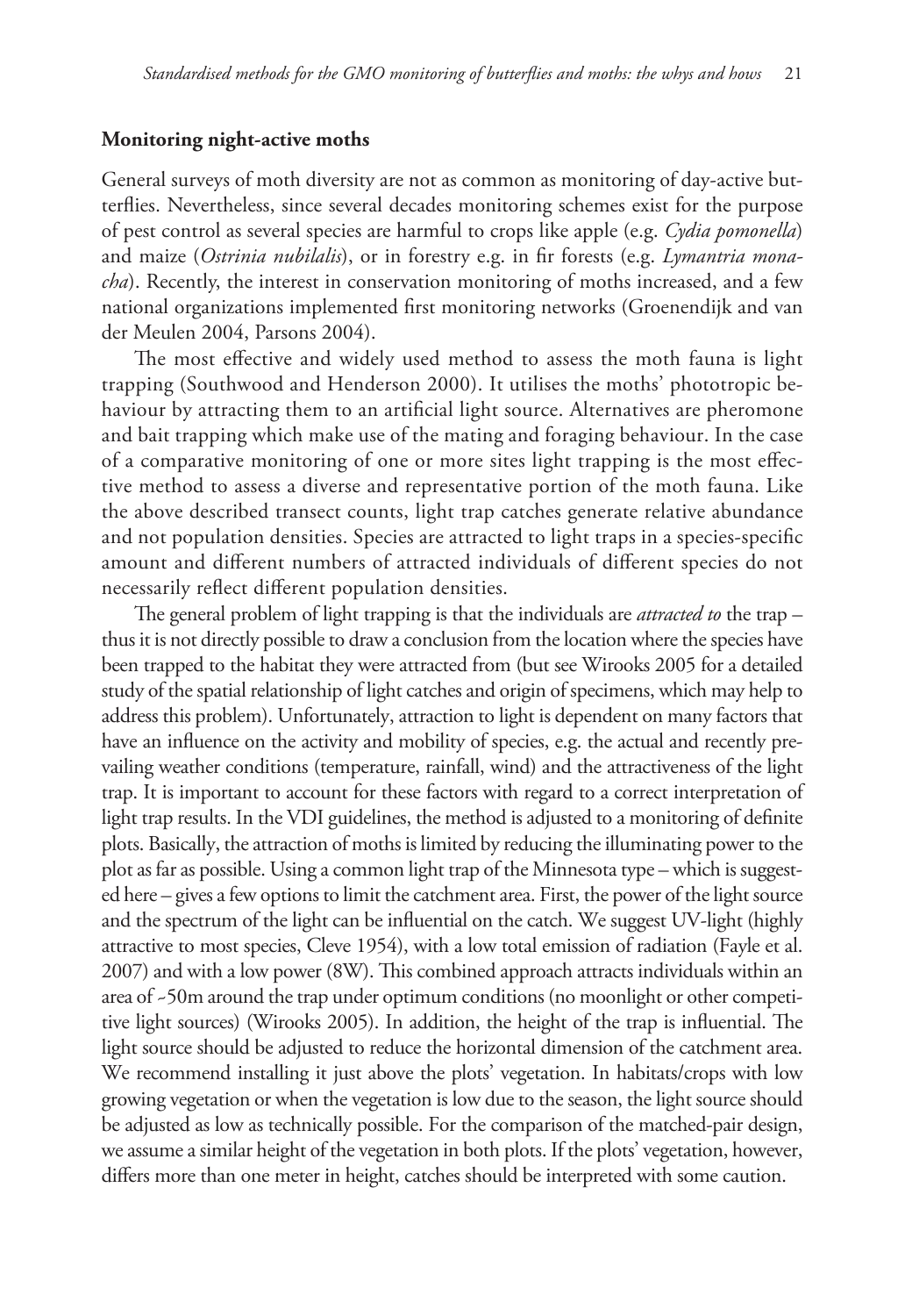## **Monitoring night-active moths**

General surveys of moth diversity are not as common as monitoring of day-active butterflies. Nevertheless, since several decades monitoring schemes exist for the purpose of pest control as several species are harmful to crops like apple (e.g. *Cydia pomonella*) and maize (*Ostrinia nubilalis*), or in forestry e.g. in fir forests (e.g. *Lymantria monacha*). Recently, the interest in conservation monitoring of moths increased, and a few national organizations implemented first monitoring networks (Groenendijk and van der Meulen 2004, Parsons 2004).

The most effective and widely used method to assess the moth fauna is light trapping (Southwood and Henderson 2000). It utilises the moths' phototropic behaviour by attracting them to an artificial light source. Alternatives are pheromone and bait trapping which make use of the mating and foraging behaviour. In the case of a comparative monitoring of one or more sites light trapping is the most effective method to assess a diverse and representative portion of the moth fauna. Like the above described transect counts, light trap catches generate relative abundance and not population densities. Species are attracted to light traps in a species-specific amount and different numbers of attracted individuals of different species do not necessarily reflect different population densities.

The general problem of light trapping is that the individuals are *attracted to* the trap – thus it is not directly possible to draw a conclusion from the location where the species have been trapped to the habitat they were attracted from (but see Wirooks 2005 for a detailed study of the spatial relationship of light catches and origin of specimens, which may help to address this problem). Unfortunately, attraction to light is dependent on many factors that have an influence on the activity and mobility of species, e.g. the actual and recently prevailing weather conditions (temperature, rainfall, wind) and the attractiveness of the light trap. It is important to account for these factors with regard to a correct interpretation of light trap results. In the VDI guidelines, the method is adjusted to a monitoring of definite plots. Basically, the attraction of moths is limited by reducing the illuminating power to the plot as far as possible. Using a common light trap of the Minnesota type – which is suggested here – gives a few options to limit the catchment area. First, the power of the light source and the spectrum of the light can be influential on the catch. We suggest UV-light (highly attractive to most species, Cleve 1954), with a low total emission of radiation (Fayle et al. 2007) and with a low power (8W). This combined approach attracts individuals within an area of ~50m around the trap under optimum conditions (no moonlight or other competitive light sources) (Wirooks 2005). In addition, the height of the trap is influential. The light source should be adjusted to reduce the horizontal dimension of the catchment area. We recommend installing it just above the plots' vegetation. In habitats/crops with low growing vegetation or when the vegetation is low due to the season, the light source should be adjusted as low as technically possible. For the comparison of the matched-pair design, we assume a similar height of the vegetation in both plots. If the plots' vegetation, however, differs more than one meter in height, catches should be interpreted with some caution.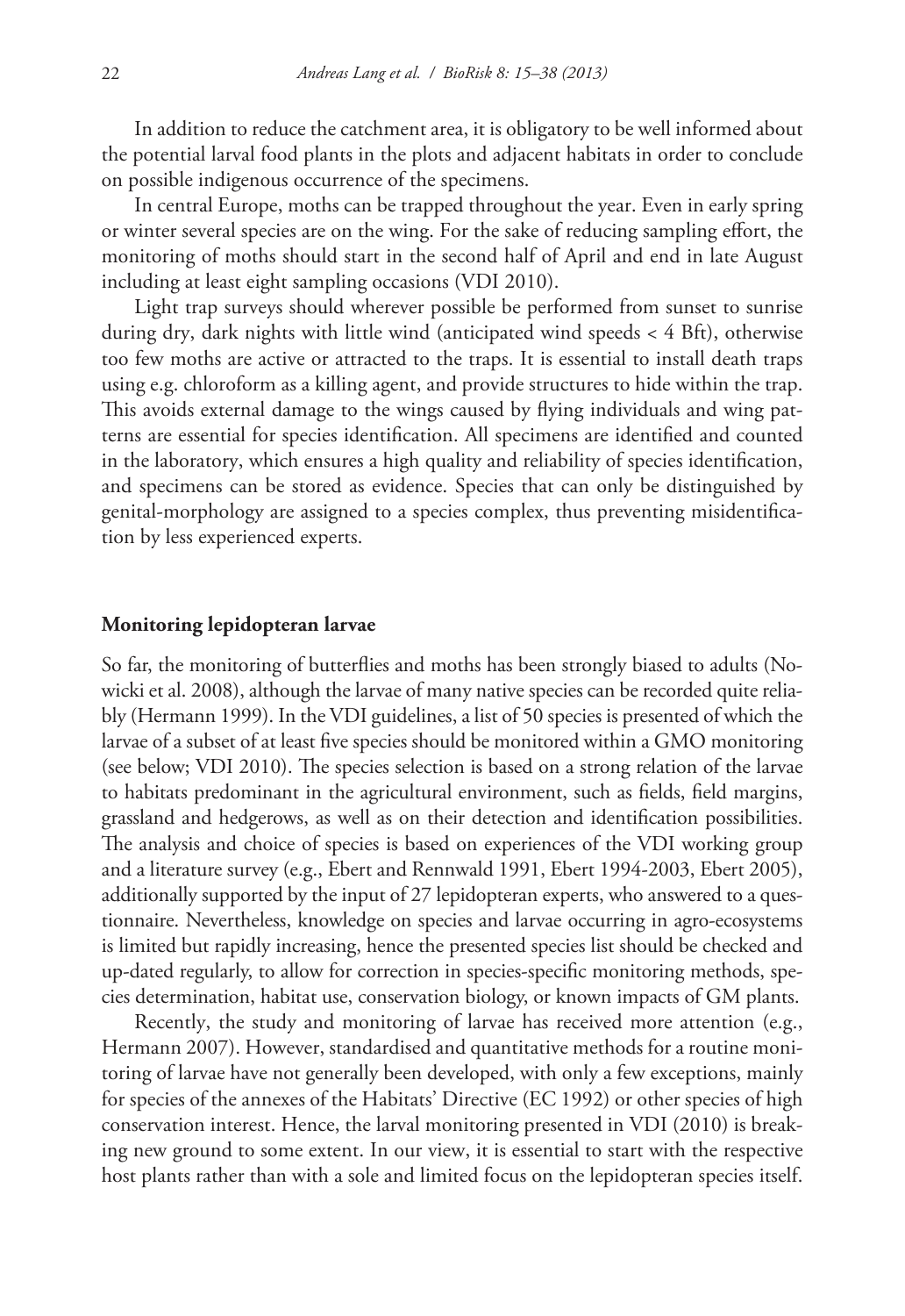In addition to reduce the catchment area, it is obligatory to be well informed about the potential larval food plants in the plots and adjacent habitats in order to conclude on possible indigenous occurrence of the specimens.

In central Europe, moths can be trapped throughout the year. Even in early spring or winter several species are on the wing. For the sake of reducing sampling effort, the monitoring of moths should start in the second half of April and end in late August including at least eight sampling occasions (VDI 2010).

Light trap surveys should wherever possible be performed from sunset to sunrise during dry, dark nights with little wind (anticipated wind speeds  $\lt$  4 Bft), otherwise too few moths are active or attracted to the traps. It is essential to install death traps using e.g. chloroform as a killing agent, and provide structures to hide within the trap. This avoids external damage to the wings caused by flying individuals and wing patterns are essential for species identification. All specimens are identified and counted in the laboratory, which ensures a high quality and reliability of species identification, and specimens can be stored as evidence. Species that can only be distinguished by genital-morphology are assigned to a species complex, thus preventing misidentification by less experienced experts.

## **Monitoring lepidopteran larvae**

So far, the monitoring of butterflies and moths has been strongly biased to adults (Nowicki et al. 2008), although the larvae of many native species can be recorded quite reliably (Hermann 1999). In the VDI guidelines, a list of 50 species is presented of which the larvae of a subset of at least five species should be monitored within a GMO monitoring (see below; VDI 2010). The species selection is based on a strong relation of the larvae to habitats predominant in the agricultural environment, such as fields, field margins, grassland and hedgerows, as well as on their detection and identification possibilities. The analysis and choice of species is based on experiences of the VDI working group and a literature survey (e.g., Ebert and Rennwald 1991, Ebert 1994-2003, Ebert 2005), additionally supported by the input of 27 lepidopteran experts, who answered to a questionnaire. Nevertheless, knowledge on species and larvae occurring in agro-ecosystems is limited but rapidly increasing, hence the presented species list should be checked and up-dated regularly, to allow for correction in species-specific monitoring methods, species determination, habitat use, conservation biology, or known impacts of GM plants.

Recently, the study and monitoring of larvae has received more attention (e.g., Hermann 2007). However, standardised and quantitative methods for a routine monitoring of larvae have not generally been developed, with only a few exceptions, mainly for species of the annexes of the Habitats' Directive (EC 1992) or other species of high conservation interest. Hence, the larval monitoring presented in VDI (2010) is breaking new ground to some extent. In our view, it is essential to start with the respective host plants rather than with a sole and limited focus on the lepidopteran species itself.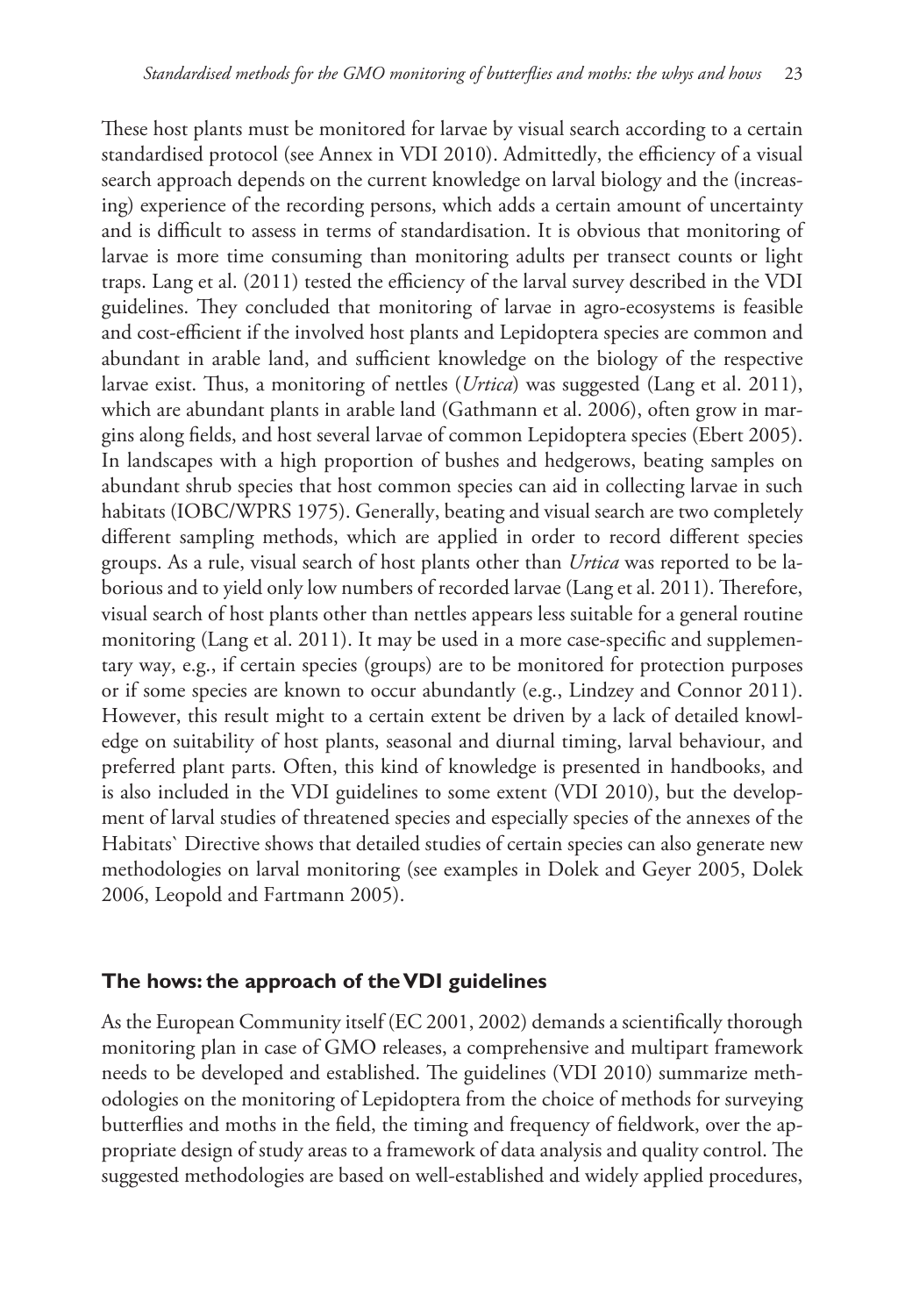These host plants must be monitored for larvae by visual search according to a certain standardised protocol (see Annex in VDI 2010). Admittedly, the efficiency of a visual search approach depends on the current knowledge on larval biology and the (increasing) experience of the recording persons, which adds a certain amount of uncertainty and is difficult to assess in terms of standardisation. It is obvious that monitoring of larvae is more time consuming than monitoring adults per transect counts or light traps. Lang et al. (2011) tested the efficiency of the larval survey described in the VDI guidelines. They concluded that monitoring of larvae in agro-ecosystems is feasible and cost-efficient if the involved host plants and Lepidoptera species are common and abundant in arable land, and sufficient knowledge on the biology of the respective larvae exist. Thus, a monitoring of nettles (*Urtica*) was suggested (Lang et al. 2011), which are abundant plants in arable land (Gathmann et al. 2006), often grow in margins along fields, and host several larvae of common Lepidoptera species (Ebert 2005). In landscapes with a high proportion of bushes and hedgerows, beating samples on abundant shrub species that host common species can aid in collecting larvae in such habitats (IOBC/WPRS 1975). Generally, beating and visual search are two completely different sampling methods, which are applied in order to record different species groups. As a rule, visual search of host plants other than *Urtica* was reported to be laborious and to yield only low numbers of recorded larvae (Lang et al. 2011). Therefore, visual search of host plants other than nettles appears less suitable for a general routine monitoring (Lang et al. 2011). It may be used in a more case-specific and supplementary way, e.g., if certain species (groups) are to be monitored for protection purposes or if some species are known to occur abundantly (e.g., Lindzey and Connor 2011). However, this result might to a certain extent be driven by a lack of detailed knowledge on suitability of host plants, seasonal and diurnal timing, larval behaviour, and preferred plant parts. Often, this kind of knowledge is presented in handbooks, and is also included in the VDI guidelines to some extent (VDI 2010), but the development of larval studies of threatened species and especially species of the annexes of the Habitats` Directive shows that detailed studies of certain species can also generate new methodologies on larval monitoring (see examples in Dolek and Geyer 2005, Dolek 2006, Leopold and Fartmann 2005).

# **The hows: the approach of the VDI guidelines**

As the European Community itself (EC 2001, 2002) demands a scientifically thorough monitoring plan in case of GMO releases, a comprehensive and multipart framework needs to be developed and established. The guidelines (VDI 2010) summarize methodologies on the monitoring of Lepidoptera from the choice of methods for surveying butterflies and moths in the field, the timing and frequency of fieldwork, over the appropriate design of study areas to a framework of data analysis and quality control. The suggested methodologies are based on well-established and widely applied procedures,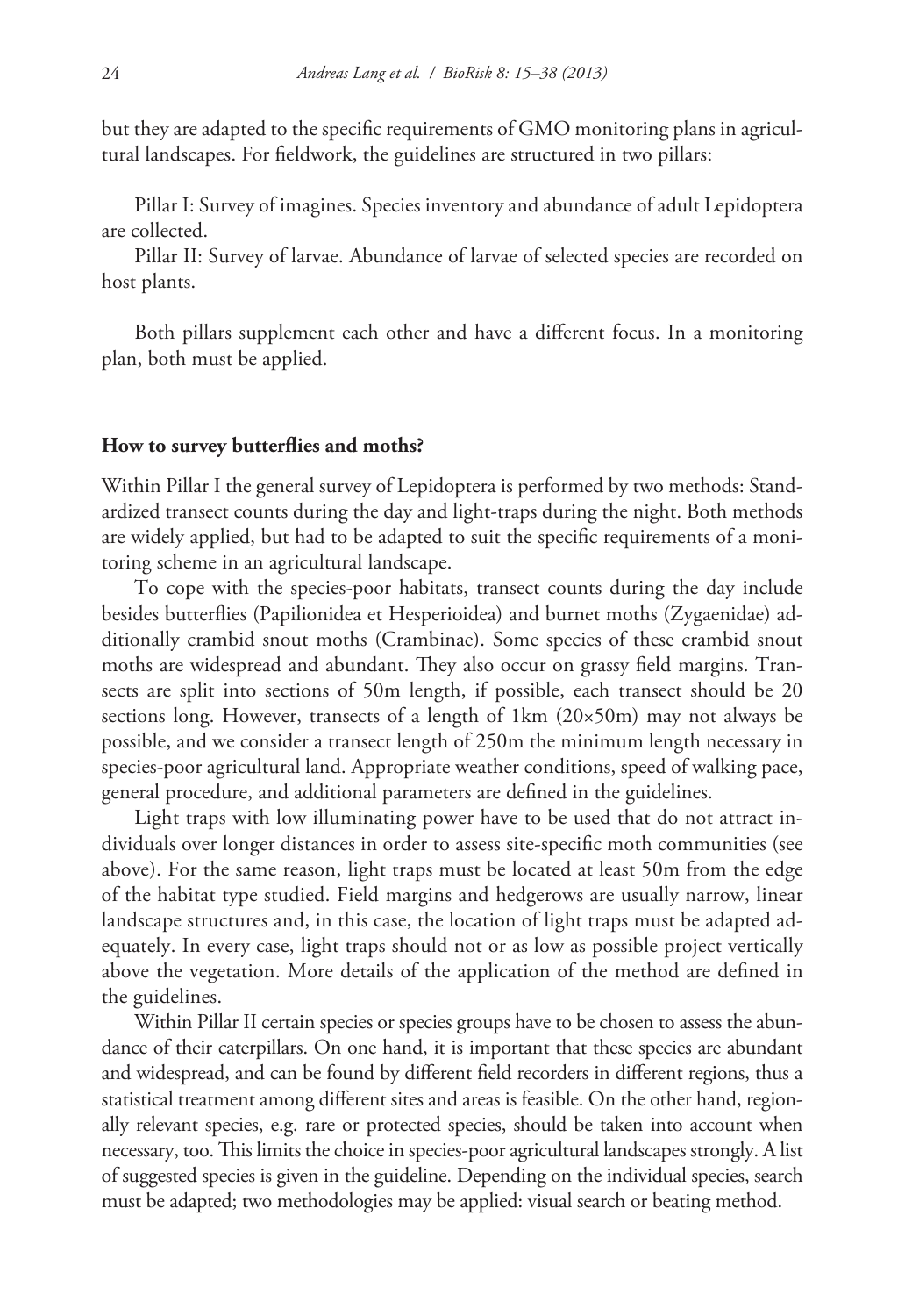but they are adapted to the specific requirements of GMO monitoring plans in agricultural landscapes. For fieldwork, the guidelines are structured in two pillars:

Pillar I: Survey of imagines. Species inventory and abundance of adult Lepidoptera are collected.

Pillar II: Survey of larvae. Abundance of larvae of selected species are recorded on host plants.

Both pillars supplement each other and have a different focus. In a monitoring plan, both must be applied.

## **How to survey butterflies and moths?**

Within Pillar I the general survey of Lepidoptera is performed by two methods: Standardized transect counts during the day and light-traps during the night. Both methods are widely applied, but had to be adapted to suit the specific requirements of a monitoring scheme in an agricultural landscape.

To cope with the species-poor habitats, transect counts during the day include besides butterflies (Papilionidea et Hesperioidea) and burnet moths (Zygaenidae) additionally crambid snout moths (Crambinae). Some species of these crambid snout moths are widespread and abundant. They also occur on grassy field margins. Transects are split into sections of 50m length, if possible, each transect should be 20 sections long. However, transects of a length of  $1 \text{km}$  ( $20 \times 50 \text{m}$ ) may not always be possible, and we consider a transect length of 250m the minimum length necessary in species-poor agricultural land. Appropriate weather conditions, speed of walking pace, general procedure, and additional parameters are defined in the guidelines.

Light traps with low illuminating power have to be used that do not attract individuals over longer distances in order to assess site-specific moth communities (see above). For the same reason, light traps must be located at least 50m from the edge of the habitat type studied. Field margins and hedgerows are usually narrow, linear landscape structures and, in this case, the location of light traps must be adapted adequately. In every case, light traps should not or as low as possible project vertically above the vegetation. More details of the application of the method are defined in the guidelines.

Within Pillar II certain species or species groups have to be chosen to assess the abundance of their caterpillars. On one hand, it is important that these species are abundant and widespread, and can be found by different field recorders in different regions, thus a statistical treatment among different sites and areas is feasible. On the other hand, regionally relevant species, e.g. rare or protected species, should be taken into account when necessary, too. This limits the choice in species-poor agricultural landscapes strongly. A list of suggested species is given in the guideline. Depending on the individual species, search must be adapted; two methodologies may be applied: visual search or beating method.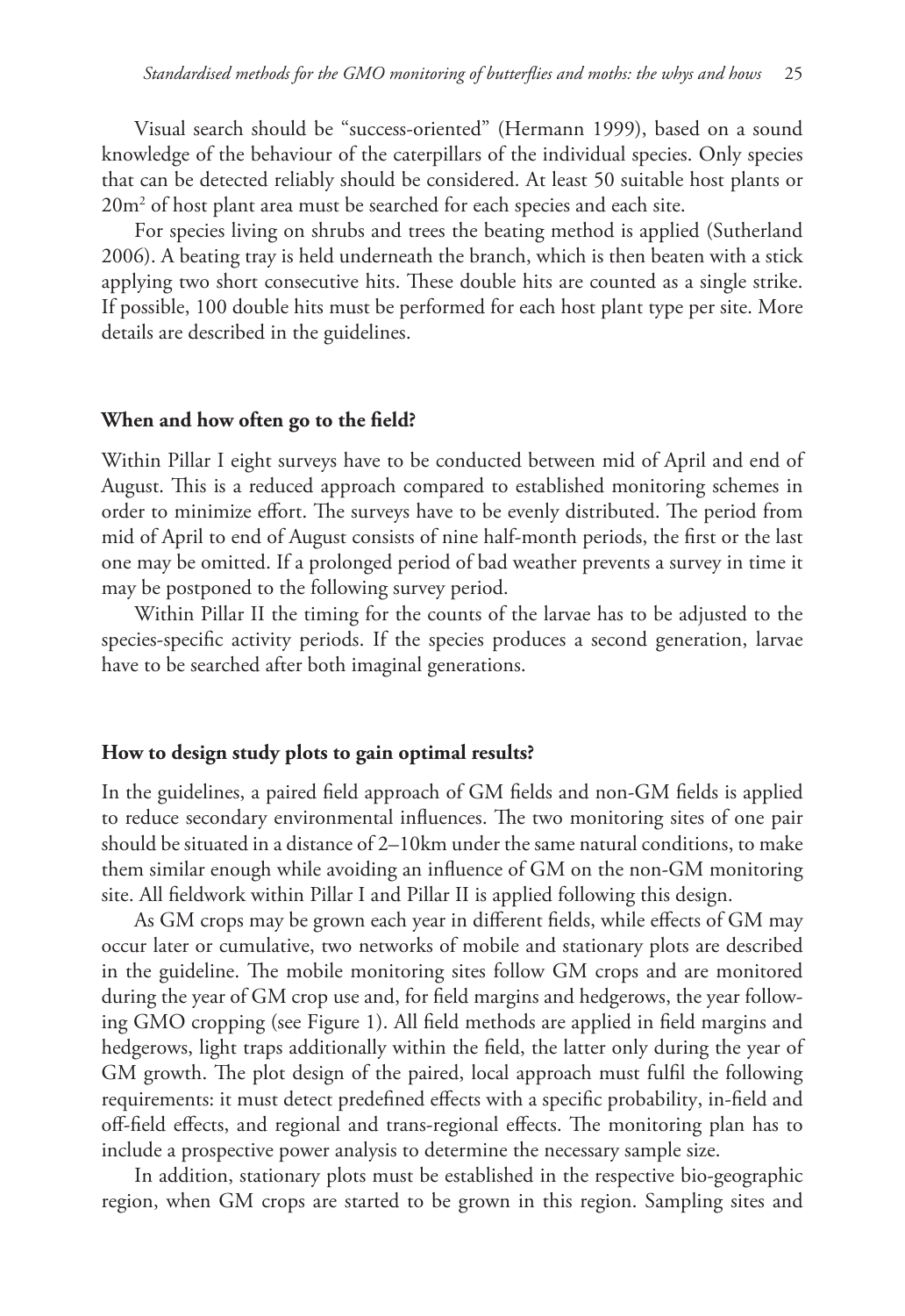Visual search should be "success-oriented" (Hermann 1999), based on a sound knowledge of the behaviour of the caterpillars of the individual species. Only species that can be detected reliably should be considered. At least 50 suitable host plants or 20m2 of host plant area must be searched for each species and each site.

For species living on shrubs and trees the beating method is applied (Sutherland 2006). A beating tray is held underneath the branch, which is then beaten with a stick applying two short consecutive hits. These double hits are counted as a single strike. If possible, 100 double hits must be performed for each host plant type per site. More details are described in the guidelines.

#### **When and how often go to the field?**

Within Pillar I eight surveys have to be conducted between mid of April and end of August. This is a reduced approach compared to established monitoring schemes in order to minimize effort. The surveys have to be evenly distributed. The period from mid of April to end of August consists of nine half-month periods, the first or the last one may be omitted. If a prolonged period of bad weather prevents a survey in time it may be postponed to the following survey period.

Within Pillar II the timing for the counts of the larvae has to be adjusted to the species-specific activity periods. If the species produces a second generation, larvae have to be searched after both imaginal generations.

#### **How to design study plots to gain optimal results?**

In the guidelines, a paired field approach of GM fields and non-GM fields is applied to reduce secondary environmental influences. The two monitoring sites of one pair should be situated in a distance of 2–10km under the same natural conditions, to make them similar enough while avoiding an influence of GM on the non-GM monitoring site. All fieldwork within Pillar I and Pillar II is applied following this design.

As GM crops may be grown each year in different fields, while effects of GM may occur later or cumulative, two networks of mobile and stationary plots are described in the guideline. The mobile monitoring sites follow GM crops and are monitored during the year of GM crop use and, for field margins and hedgerows, the year following GMO cropping (see Figure 1). All field methods are applied in field margins and hedgerows, light traps additionally within the field, the latter only during the year of GM growth. The plot design of the paired, local approach must fulfil the following requirements: it must detect predefined effects with a specific probability, in-field and off-field effects, and regional and trans-regional effects. The monitoring plan has to include a prospective power analysis to determine the necessary sample size.

In addition, stationary plots must be established in the respective bio-geographic region, when GM crops are started to be grown in this region. Sampling sites and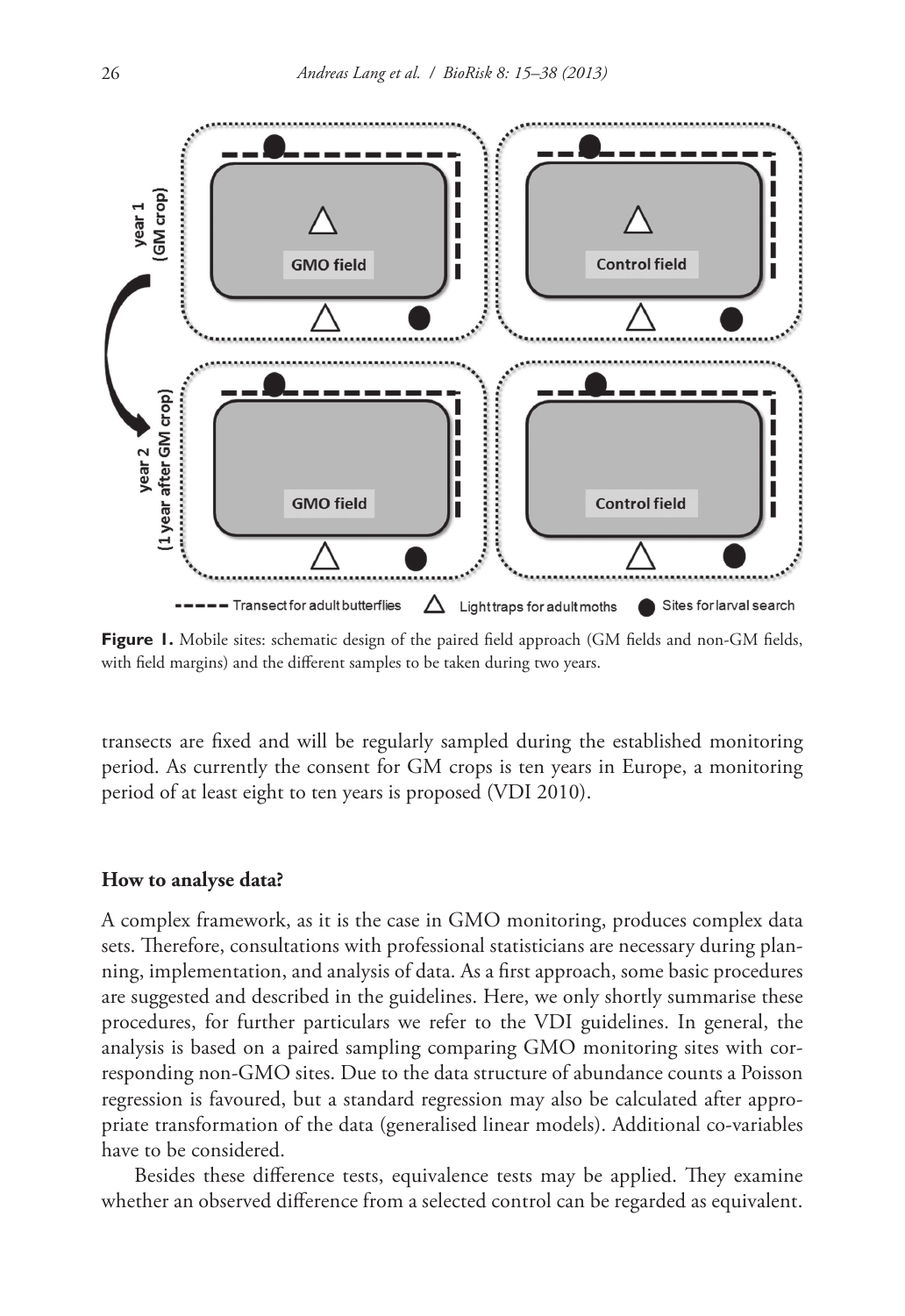

**Figure 1.** Mobile sites: schematic design of the paired field approach (GM fields and non-GM fields, with field margins) and the different samples to be taken during two years.

transects are fixed and will be regularly sampled during the established monitoring period. As currently the consent for GM crops is ten years in Europe, a monitoring period of at least eight to ten years is proposed (VDI 2010).

#### **How to analyse data?**

A complex framework, as it is the case in GMO monitoring, produces complex data sets. Therefore, consultations with professional statisticians are necessary during planning, implementation, and analysis of data. As a first approach, some basic procedures are suggested and described in the guidelines. Here, we only shortly summarise these procedures, for further particulars we refer to the VDI guidelines. In general, the analysis is based on a paired sampling comparing GMO monitoring sites with corresponding non-GMO sites. Due to the data structure of abundance counts a Poisson regression is favoured, but a standard regression may also be calculated after appropriate transformation of the data (generalised linear models). Additional co-variables have to be considered.

Besides these difference tests, equivalence tests may be applied. They examine whether an observed difference from a selected control can be regarded as equivalent.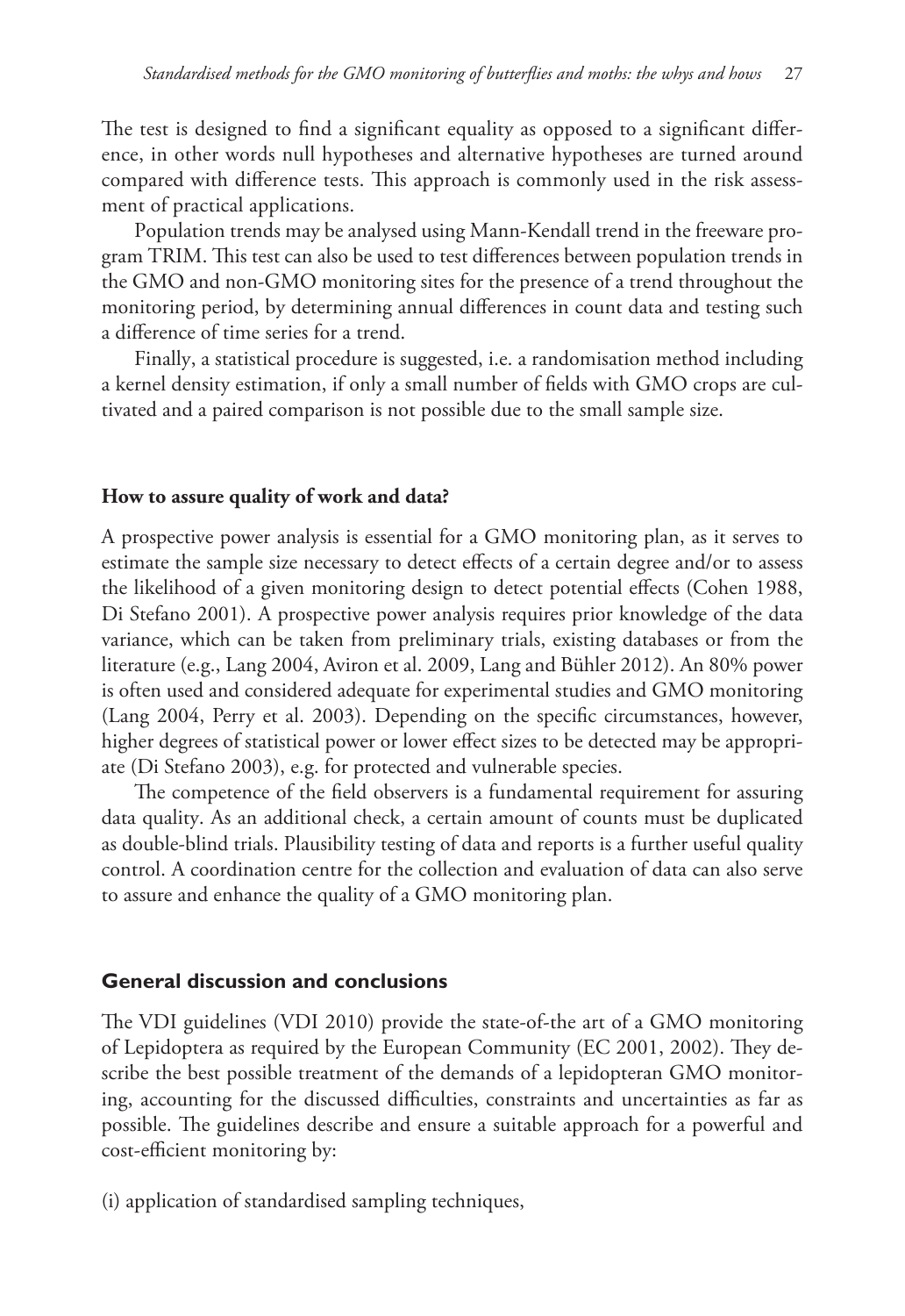The test is designed to find a significant equality as opposed to a significant difference, in other words null hypotheses and alternative hypotheses are turned around compared with difference tests. This approach is commonly used in the risk assessment of practical applications.

Population trends may be analysed using Mann-Kendall trend in the freeware program TRIM. This test can also be used to test differences between population trends in the GMO and non-GMO monitoring sites for the presence of a trend throughout the monitoring period, by determining annual differences in count data and testing such a difference of time series for a trend.

Finally, a statistical procedure is suggested, i.e. a randomisation method including a kernel density estimation, if only a small number of fields with GMO crops are cultivated and a paired comparison is not possible due to the small sample size.

# **How to assure quality of work and data?**

A prospective power analysis is essential for a GMO monitoring plan, as it serves to estimate the sample size necessary to detect effects of a certain degree and/or to assess the likelihood of a given monitoring design to detect potential effects (Cohen 1988, Di Stefano 2001). A prospective power analysis requires prior knowledge of the data variance, which can be taken from preliminary trials, existing databases or from the literature (e.g., Lang 2004, Aviron et al. 2009, Lang and Bühler 2012). An 80% power is often used and considered adequate for experimental studies and GMO monitoring (Lang 2004, Perry et al. 2003). Depending on the specific circumstances, however, higher degrees of statistical power or lower effect sizes to be detected may be appropriate (Di Stefano 2003), e.g. for protected and vulnerable species.

The competence of the field observers is a fundamental requirement for assuring data quality. As an additional check, a certain amount of counts must be duplicated as double-blind trials. Plausibility testing of data and reports is a further useful quality control. A coordination centre for the collection and evaluation of data can also serve to assure and enhance the quality of a GMO monitoring plan.

# **General discussion and conclusions**

The VDI guidelines (VDI 2010) provide the state-of-the art of a GMO monitoring of Lepidoptera as required by the European Community (EC 2001, 2002). They describe the best possible treatment of the demands of a lepidopteran GMO monitoring, accounting for the discussed difficulties, constraints and uncertainties as far as possible. The guidelines describe and ensure a suitable approach for a powerful and cost-efficient monitoring by:

(i) application of standardised sampling techniques,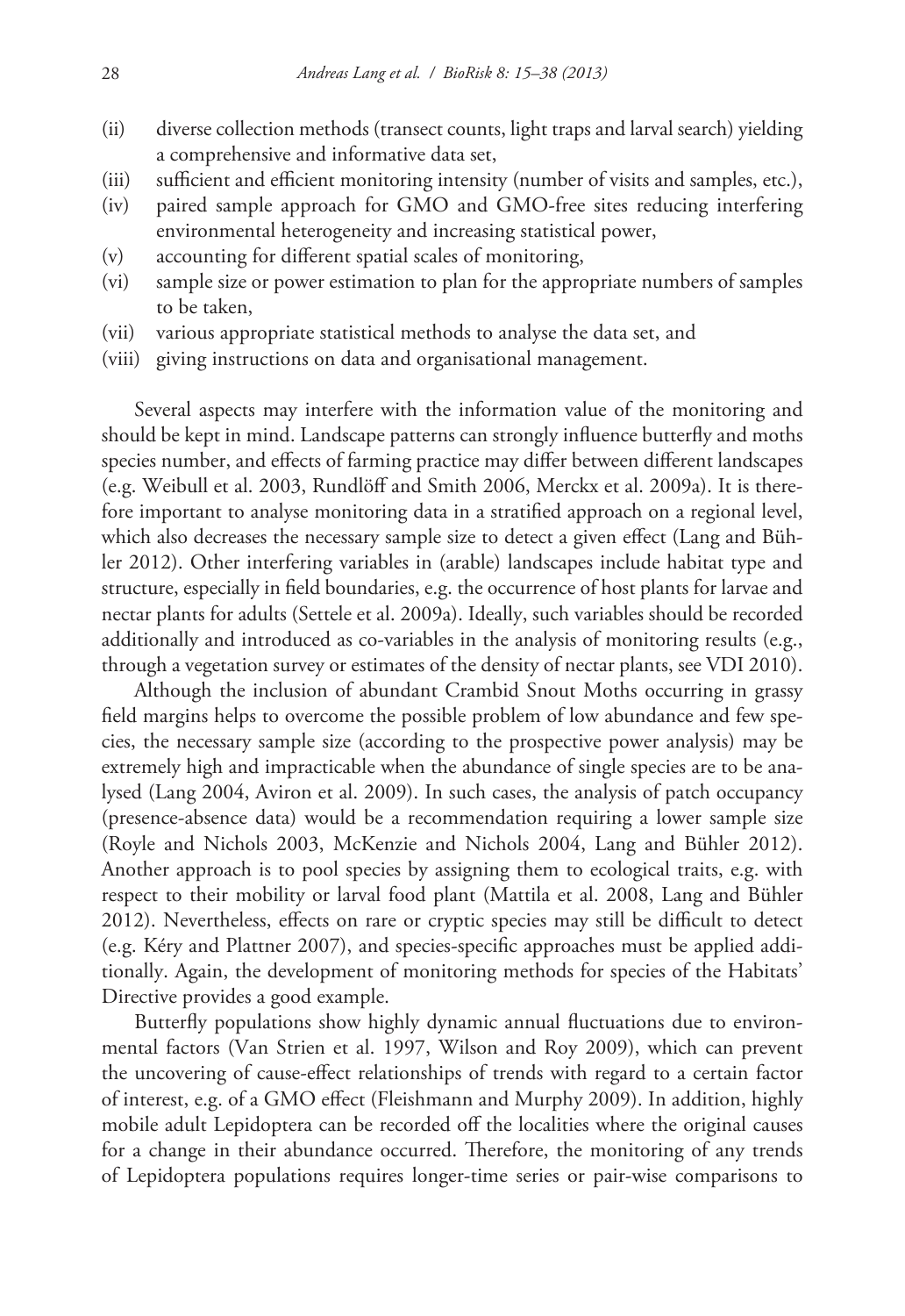- (ii) diverse collection methods (transect counts, light traps and larval search) yielding a comprehensive and informative data set,
- (iii) sufficient and efficient monitoring intensity (number of visits and samples, etc.),
- (iv) paired sample approach for GMO and GMO-free sites reducing interfering environmental heterogeneity and increasing statistical power,
- (v) accounting for different spatial scales of monitoring,
- (vi) sample size or power estimation to plan for the appropriate numbers of samples to be taken,
- (vii) various appropriate statistical methods to analyse the data set, and
- (viii) giving instructions on data and organisational management.

Several aspects may interfere with the information value of the monitoring and should be kept in mind. Landscape patterns can strongly influence butterfly and moths species number, and effects of farming practice may differ between different landscapes (e.g. Weibull et al. 2003, Rundlöff and Smith 2006, Merckx et al. 2009a). It is therefore important to analyse monitoring data in a stratified approach on a regional level, which also decreases the necessary sample size to detect a given effect (Lang and Bühler 2012). Other interfering variables in (arable) landscapes include habitat type and structure, especially in field boundaries, e.g. the occurrence of host plants for larvae and nectar plants for adults (Settele et al. 2009a). Ideally, such variables should be recorded additionally and introduced as co-variables in the analysis of monitoring results (e.g., through a vegetation survey or estimates of the density of nectar plants, see VDI 2010).

Although the inclusion of abundant Crambid Snout Moths occurring in grassy field margins helps to overcome the possible problem of low abundance and few species, the necessary sample size (according to the prospective power analysis) may be extremely high and impracticable when the abundance of single species are to be analysed (Lang 2004, Aviron et al. 2009). In such cases, the analysis of patch occupancy (presence-absence data) would be a recommendation requiring a lower sample size (Royle and Nichols 2003, McKenzie and Nichols 2004, Lang and Bühler 2012). Another approach is to pool species by assigning them to ecological traits, e.g. with respect to their mobility or larval food plant (Mattila et al. 2008, Lang and Bühler 2012). Nevertheless, effects on rare or cryptic species may still be difficult to detect (e.g. Kéry and Plattner 2007), and species-specific approaches must be applied additionally. Again, the development of monitoring methods for species of the Habitats' Directive provides a good example.

Butterfly populations show highly dynamic annual fluctuations due to environmental factors (Van Strien et al. 1997, Wilson and Roy 2009), which can prevent the uncovering of cause-effect relationships of trends with regard to a certain factor of interest, e.g. of a GMO effect (Fleishmann and Murphy 2009). In addition, highly mobile adult Lepidoptera can be recorded off the localities where the original causes for a change in their abundance occurred. Therefore, the monitoring of any trends of Lepidoptera populations requires longer-time series or pair-wise comparisons to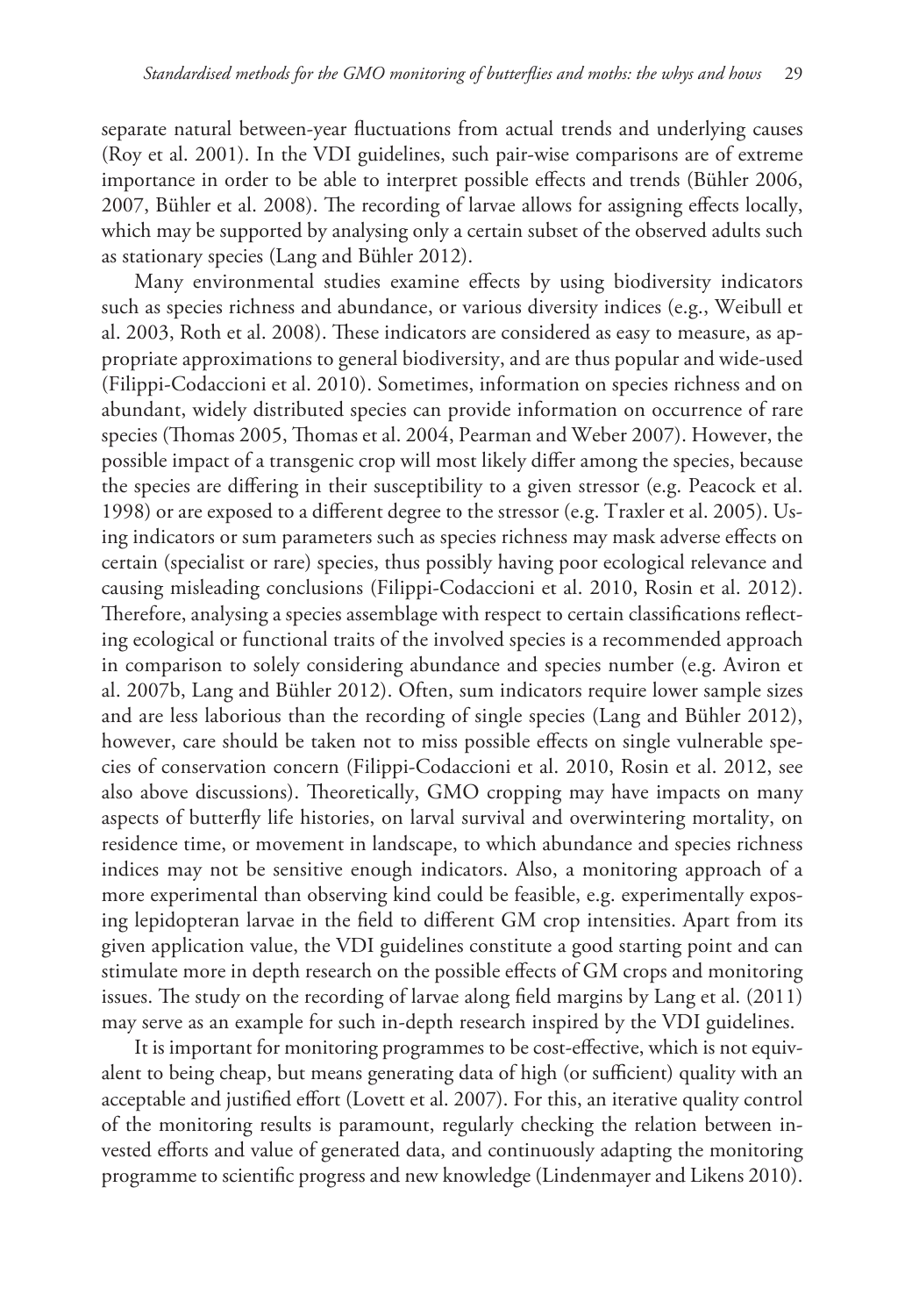separate natural between-year fluctuations from actual trends and underlying causes (Roy et al. 2001). In the VDI guidelines, such pair-wise comparisons are of extreme importance in order to be able to interpret possible effects and trends (Bühler 2006, 2007, Bühler et al. 2008). The recording of larvae allows for assigning effects locally, which may be supported by analysing only a certain subset of the observed adults such as stationary species (Lang and Bühler 2012).

Many environmental studies examine effects by using biodiversity indicators such as species richness and abundance, or various diversity indices (e.g., Weibull et al. 2003, Roth et al. 2008). These indicators are considered as easy to measure, as appropriate approximations to general biodiversity, and are thus popular and wide-used (Filippi-Codaccioni et al. 2010). Sometimes, information on species richness and on abundant, widely distributed species can provide information on occurrence of rare species (Thomas 2005, Thomas et al. 2004, Pearman and Weber 2007). However, the possible impact of a transgenic crop will most likely differ among the species, because the species are differing in their susceptibility to a given stressor (e.g. Peacock et al. 1998) or are exposed to a different degree to the stressor (e.g. Traxler et al. 2005). Using indicators or sum parameters such as species richness may mask adverse effects on certain (specialist or rare) species, thus possibly having poor ecological relevance and causing misleading conclusions (Filippi-Codaccioni et al. 2010, Rosin et al. 2012). Therefore, analysing a species assemblage with respect to certain classifications reflecting ecological or functional traits of the involved species is a recommended approach in comparison to solely considering abundance and species number (e.g. Aviron et al. 2007b, Lang and Bühler 2012). Often, sum indicators require lower sample sizes and are less laborious than the recording of single species (Lang and Bühler 2012), however, care should be taken not to miss possible effects on single vulnerable species of conservation concern (Filippi-Codaccioni et al. 2010, Rosin et al. 2012, see also above discussions). Theoretically, GMO cropping may have impacts on many aspects of butterfly life histories, on larval survival and overwintering mortality, on residence time, or movement in landscape, to which abundance and species richness indices may not be sensitive enough indicators. Also, a monitoring approach of a more experimental than observing kind could be feasible, e.g. experimentally exposing lepidopteran larvae in the field to different GM crop intensities. Apart from its given application value, the VDI guidelines constitute a good starting point and can stimulate more in depth research on the possible effects of GM crops and monitoring issues. The study on the recording of larvae along field margins by Lang et al. (2011) may serve as an example for such in-depth research inspired by the VDI guidelines.

It is important for monitoring programmes to be cost-effective, which is not equivalent to being cheap, but means generating data of high (or sufficient) quality with an acceptable and justified effort (Lovett et al. 2007). For this, an iterative quality control of the monitoring results is paramount, regularly checking the relation between invested efforts and value of generated data, and continuously adapting the monitoring programme to scientific progress and new knowledge (Lindenmayer and Likens 2010).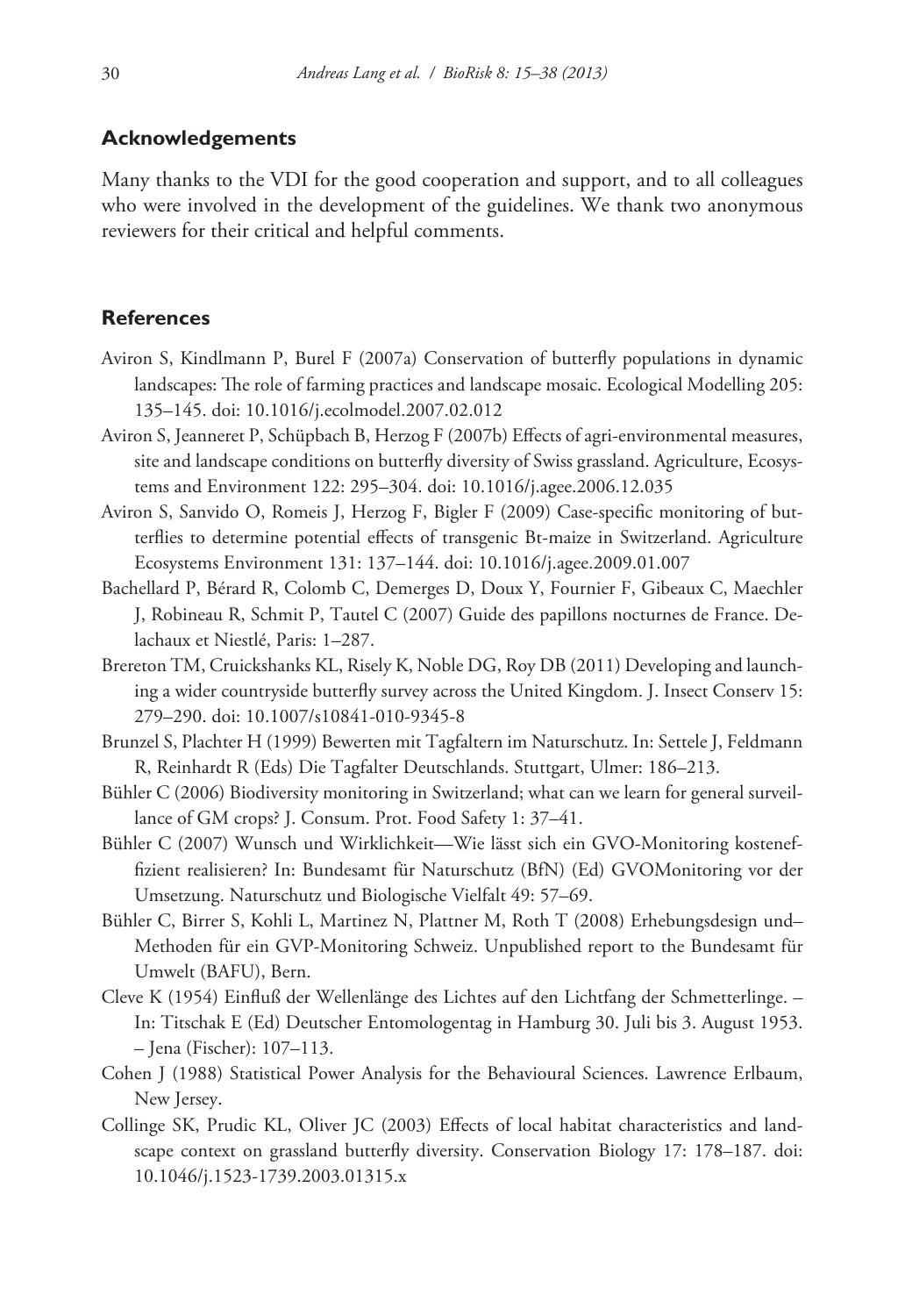# **Acknowledgements**

Many thanks to the VDI for the good cooperation and support, and to all colleagues who were involved in the development of the guidelines. We thank two anonymous reviewers for their critical and helpful comments.

# **References**

- Aviron S, Kindlmann P, Burel F (2007a) Conservation of butterfly populations in dynamic landscapes: The role of farming practices and landscape mosaic. Ecological Modelling 205: 135–145. [doi: 10.1016/j.ecolmodel.2007.02.012](http://dx.doi.org/10.1016/j.ecolmodel.2007.02.012)
- Aviron S, Jeanneret P, Schüpbach B, Herzog F (2007b) Effects of agri-environmental measures, site and landscape conditions on butterfly diversity of Swiss grassland. Agriculture, Ecosystems and Environment 122: 295–304. [doi: 10.1016/j.agee.2006.12.035](http://dx.doi.org/10.1016/j.agee.2006.12.035)
- Aviron S, Sanvido O, Romeis J, Herzog F, Bigler F (2009) Case-specific monitoring of butterflies to determine potential effects of transgenic Bt-maize in Switzerland. Agriculture Ecosystems Environment 131: 137–144. [doi: 10.1016/j.agee.2009.01.007](http://dx.doi.org/10.1016/j.agee.2009.01.007)
- Bachellard P, Bérard R, Colomb C, Demerges D, Doux Y, Fournier F, Gibeaux C, Maechler J, Robineau R, Schmit P, Tautel C (2007) Guide des papillons nocturnes de France. Delachaux et Niestlé, Paris: 1–287.
- Brereton TM, Cruickshanks KL, Risely K, Noble DG, Roy DB (2011) Developing and launching a wider countryside butterfly survey across the United Kingdom. J. Insect Conserv 15: 279–290. [doi: 10.1007/s10841-010-9345-8](http://dx.doi.org/10.1007/s10841-010-9345-8)
- Brunzel S, Plachter H (1999) Bewerten mit Tagfaltern im Naturschutz. In: Settele J, Feldmann R, Reinhardt R (Eds) Die Tagfalter Deutschlands. Stuttgart, Ulmer: 186–213.
- Bühler C (2006) Biodiversity monitoring in Switzerland; what can we learn for general surveillance of GM crops? J. Consum. Prot. Food Safety 1: 37–41.
- Bühler C (2007) Wunsch und Wirklichkeit—Wie lässt sich ein GVO-Monitoring kosteneffizient realisieren? In: Bundesamt für Naturschutz (BfN) (Ed) GVOMonitoring vor der Umsetzung. Naturschutz und Biologische Vielfalt 49: 57–69.
- Bühler C, Birrer S, Kohli L, Martinez N, Plattner M, Roth T (2008) Erhebungsdesign und– Methoden für ein GVP-Monitoring Schweiz. Unpublished report to the Bundesamt für Umwelt (BAFU), Bern.
- Cleve K (1954) Einfluß der Wellenlänge des Lichtes auf den Lichtfang der Schmetterlinge. In: Titschak E (Ed) Deutscher Entomologentag in Hamburg 30. Juli bis 3. August 1953. – Jena (Fischer): 107–113.
- Cohen J (1988) Statistical Power Analysis for the Behavioural Sciences. Lawrence Erlbaum, New Jersey.
- Collinge SK, Prudic KL, Oliver JC (2003) Effects of local habitat characteristics and landscape context on grassland butterfly diversity. Conservation Biology 17: 178–187. [doi:](http://dx.doi.org/10.1046/j.1523-1739.2003.01315.x) [10.1046/j.1523-1739.2003.01315.x](http://dx.doi.org/10.1046/j.1523-1739.2003.01315.x)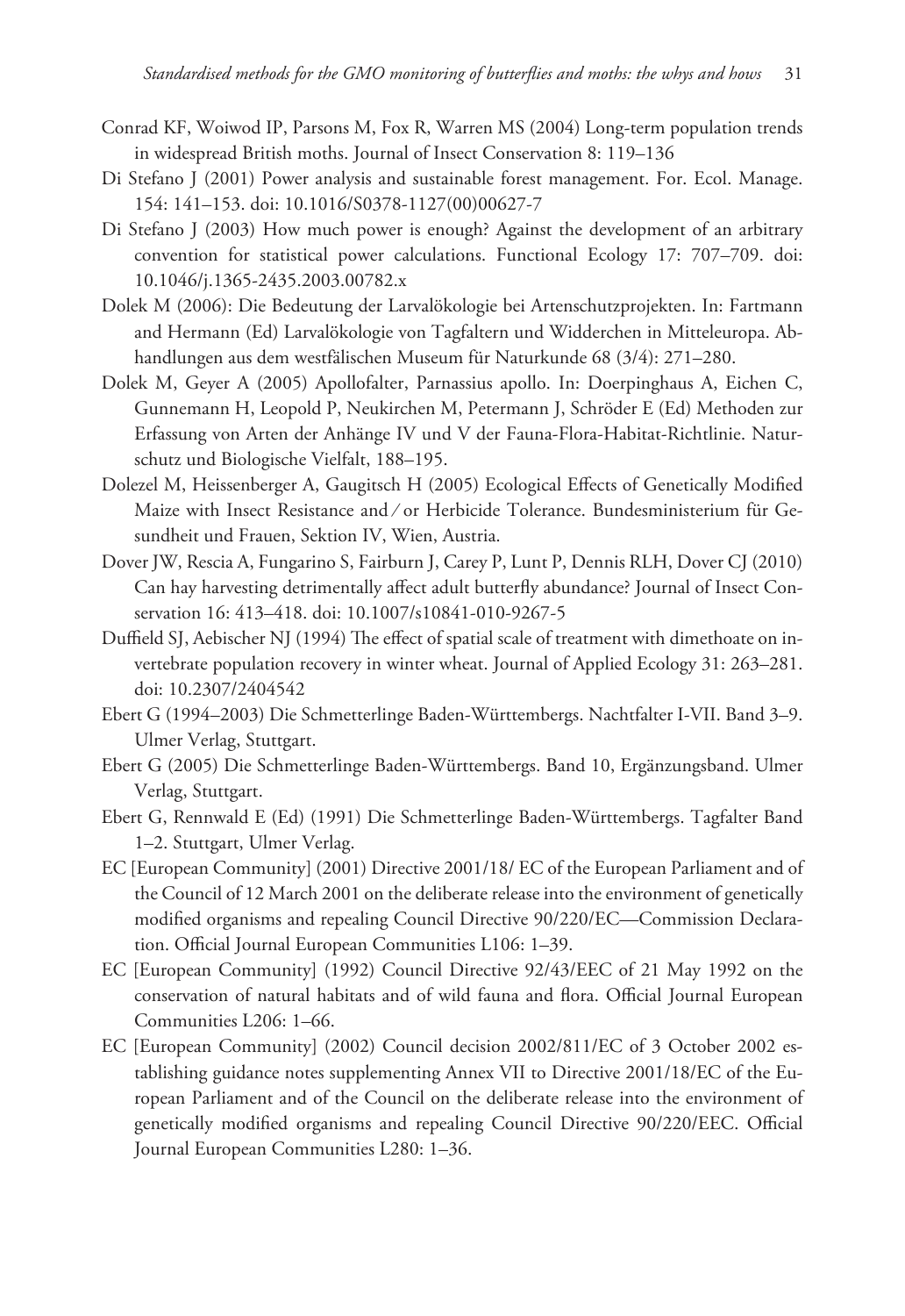- Conrad KF, Woiwod IP, Parsons M, Fox R, Warren MS (2004) Long-term population trends in widespread British moths. Journal of Insect Conservation 8: 119–136
- Di Stefano J (2001) Power analysis and sustainable forest management. For. Ecol. Manage. 154: 141–153. [doi: 10.1016/S0378-1127\(00\)00627-7](http://dx.doi.org/10.1016/S0378-1127(00)00627-7)
- Di Stefano J (2003) How much power is enough? Against the development of an arbitrary convention for statistical power calculations. Functional Ecology 17: 707–709. [doi:](http://dx.doi.org/10.1046/j.1365-2435.2003.00782.x) [10.1046/j.1365-2435.2003.00782.x](http://dx.doi.org/10.1046/j.1365-2435.2003.00782.x)
- Dolek M (2006): Die Bedeutung der Larvalökologie bei Artenschutzprojekten. In: Fartmann and Hermann (Ed) Larvalökologie von Tagfaltern und Widderchen in Mitteleuropa. Abhandlungen aus dem westfälischen Museum für Naturkunde 68 (3/4): 271–280.
- Dolek M, Geyer A (2005) Apollofalter, Parnassius apollo. In: Doerpinghaus A, Eichen C, Gunnemann H, Leopold P, Neukirchen M, Petermann J, Schröder E (Ed) Methoden zur Erfassung von Arten der Anhänge IV und V der Fauna-Flora-Habitat-Richtlinie. Naturschutz und Biologische Vielfalt, 188–195.
- Dolezel M, Heissenberger A, Gaugitsch H (2005) Ecological Effects of Genetically Modified Maize with Insect Resistance and ⁄ or Herbicide Tolerance. Bundesministerium für Gesundheit und Frauen, Sektion IV, Wien, Austria.
- Dover JW, Rescia A, Fungarino S, Fairburn J, Carey P, Lunt P, Dennis RLH, Dover CJ (2010) Can hay harvesting detrimentally affect adult butterfly abundance? Journal of Insect Conservation 16: 413–418. [doi: 10.1007/s10841-010-9267-5](http://dx.doi.org/10.1007/s10841-010-9267-5)
- Duffield SJ, Aebischer NJ (1994) The effect of spatial scale of treatment with dimethoate on invertebrate population recovery in winter wheat. Journal of Applied Ecology 31: 263–281. [doi: 10.2307/2404542](http://dx.doi.org/10.2307/2404542)
- Ebert G (1994–2003) Die Schmetterlinge Baden-Württembergs. Nachtfalter I-VII. Band 3–9. Ulmer Verlag, Stuttgart.
- Ebert G (2005) Die Schmetterlinge Baden-Württembergs. Band 10, Ergänzungsband. Ulmer Verlag, Stuttgart.
- Ebert G, Rennwald E (Ed) (1991) Die Schmetterlinge Baden-Württembergs. Tagfalter Band 1–2. Stuttgart, Ulmer Verlag.
- EC [European Community] (2001) Directive 2001/18/ EC of the European Parliament and of the Council of 12 March 2001 on the deliberate release into the environment of genetically modified organisms and repealing Council Directive 90/220/EC—Commission Declaration. Official Journal European Communities L106: 1–39.
- EC [European Community] (1992) Council Directive 92/43/EEC of 21 May 1992 on the conservation of natural habitats and of wild fauna and flora. Official Journal European Communities L206: 1–66.
- EC [European Community] (2002) Council decision 2002/811/EC of 3 October 2002 establishing guidance notes supplementing Annex VII to Directive 2001/18/EC of the European Parliament and of the Council on the deliberate release into the environment of genetically modified organisms and repealing Council Directive 90/220/EEC. Official Journal European Communities L280: 1–36.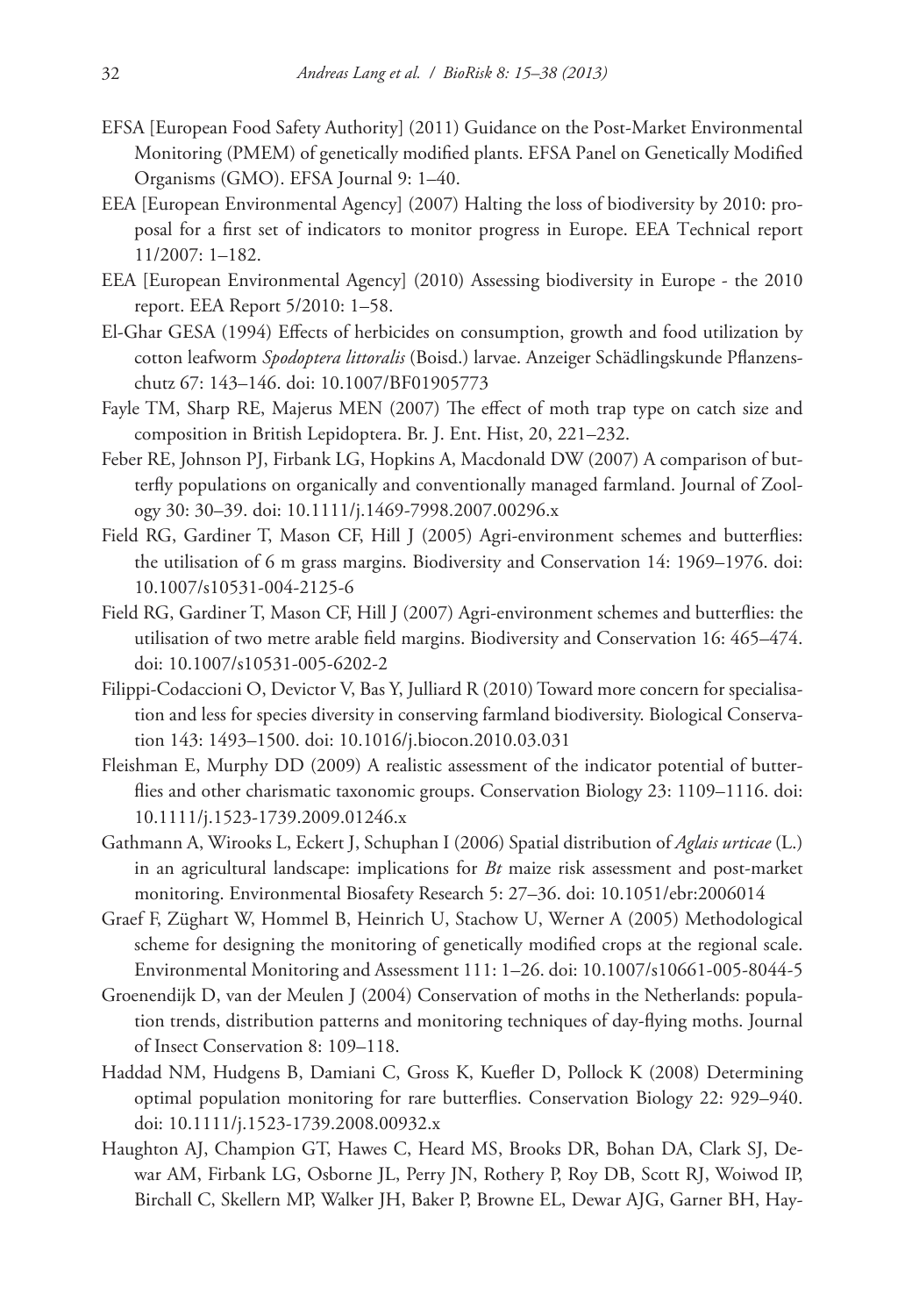- EFSA [European Food Safety Authority] (2011) Guidance on the Post-Market Environmental Monitoring (PMEM) of genetically modified plants. EFSA Panel on Genetically Modified Organisms (GMO). EFSA Journal 9: 1–40.
- EEA [European Environmental Agency] (2007) Halting the loss of biodiversity by 2010: proposal for a first set of indicators to monitor progress in Europe. EEA Technical report 11/2007: 1–182.
- EEA [European Environmental Agency] (2010) Assessing biodiversity in Europe the 2010 report. EEA Report 5/2010: 1–58.
- El-Ghar GESA (1994) Effects of herbicides on consumption, growth and food utilization by cotton leafworm *Spodoptera littoralis* (Boisd.) larvae. Anzeiger Schädlingskunde Pflanzenschutz 67: 143–146. [doi: 10.1007/BF01905773](http://dx.doi.org/10.1007/BF01905773)
- Fayle TM, Sharp RE, Majerus MEN (2007) The effect of moth trap type on catch size and composition in British Lepidoptera. Br. J. Ent. Hist, 20, 221–232.
- Feber RE, Johnson PJ, Firbank LG, Hopkins A, Macdonald DW (2007) A comparison of butterfly populations on organically and conventionally managed farmland. Journal of Zoology 30: 30–39. [doi: 10.1111/j.1469-7998.2007.00296.x](http://dx.doi.org/10.1111/j.1469-7998.2007.00296.x)
- Field RG, Gardiner T, Mason CF, Hill J (2005) Agri-environment schemes and butterflies: the utilisation of 6 m grass margins. Biodiversity and Conservation 14: 1969–1976. [doi:](http://dx.doi.org/10.1007/s10531-004-2125-6) [10.1007/s10531-004-2125-6](http://dx.doi.org/10.1007/s10531-004-2125-6)
- Field RG, Gardiner T, Mason CF, Hill J (2007) Agri-environment schemes and butterflies: the utilisation of two metre arable field margins. Biodiversity and Conservation 16: 465–474. [doi: 10.1007/s10531-005-6202-2](http://dx.doi.org/10.1007/s10531-005-6202-2)
- Filippi-Codaccioni O, Devictor V, Bas Y, Julliard R (2010) Toward more concern for specialisation and less for species diversity in conserving farmland biodiversity. Biological Conservation 143: 1493–1500. [doi: 10.1016/j.biocon.2010.03.031](http://dx.doi.org/10.1016/j.biocon.2010.03.031)
- Fleishman E, Murphy DD (2009) A realistic assessment of the indicator potential of butterflies and other charismatic taxonomic groups. Conservation Biology 23: 1109–1116. [doi:](http://dx.doi.org/10.1111/j.1523-1739.2009.01246.x) [10.1111/j.1523-1739.2009.01246.x](http://dx.doi.org/10.1111/j.1523-1739.2009.01246.x)
- Gathmann A, Wirooks L, Eckert J, Schuphan I (2006) Spatial distribution of *Aglais urticae* (L.) in an agricultural landscape: implications for *Bt* maize risk assessment and post-market monitoring. Environmental Biosafety Research 5: 27–36. [doi: 10.1051/ebr:2006014](http://dx.doi.org/10.1051/ebr:2006014)
- Graef F, Züghart W, Hommel B, Heinrich U, Stachow U, Werner A (2005) Methodological scheme for designing the monitoring of genetically modified crops at the regional scale. Environmental Monitoring and Assessment 111: 1–26. [doi: 10.1007/s10661-005-8044-5](http://dx.doi.org/10.1007/s10661-005-8044-5)
- Groenendijk D, van der Meulen J (2004) Conservation of moths in the Netherlands: population trends, distribution patterns and monitoring techniques of day-flying moths. Journal of Insect Conservation 8: 109–118.
- Haddad NM, Hudgens B, Damiani C, Gross K, Kuefler D, Pollock K (2008) Determining optimal population monitoring for rare butterflies. Conservation Biology 22: 929–940. [doi: 10.1111/j.1523-1739.2008.00932.x](http://dx.doi.org/10.1111/j.1523-1739.2008.00932.x)
- Haughton AJ, Champion GT, Hawes C, Heard MS, Brooks DR, Bohan DA, Clark SJ, Dewar AM, Firbank LG, Osborne JL, Perry JN, Rothery P, Roy DB, Scott RJ, Woiwod IP, Birchall C, Skellern MP, Walker JH, Baker P, Browne EL, Dewar AJG, Garner BH, Hay-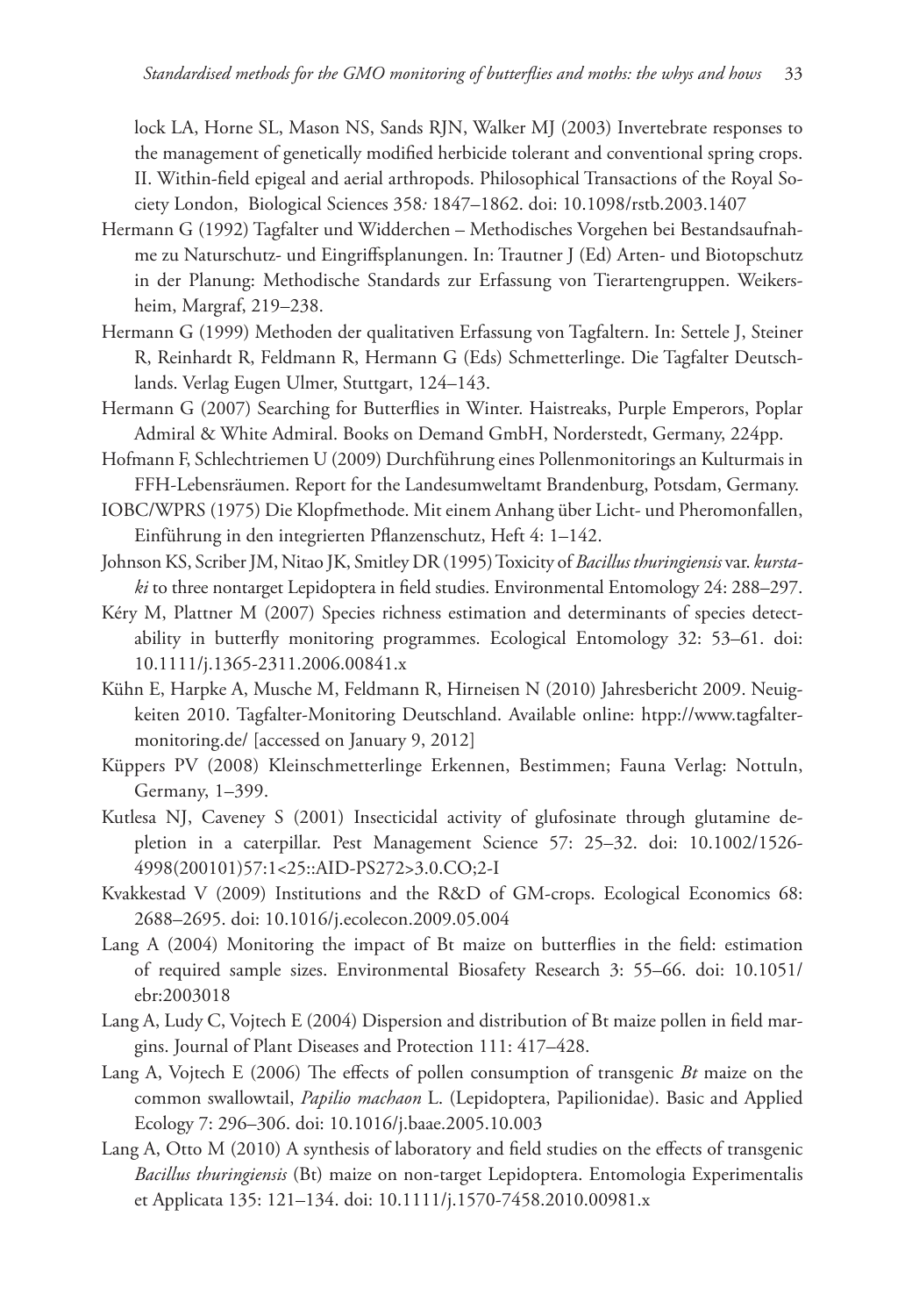lock LA, Horne SL, Mason NS, Sands RJN, Walker MJ (2003) Invertebrate responses to the management of genetically modified herbicide tolerant and conventional spring crops. II. Within-field epigeal and aerial arthropods. Philosophical Transactions of the Royal Society London, Biological Sciences 358*:* 1847–1862. [doi: 10.1098/rstb.2003.1407](http://dx.doi.org/10.1098/rstb.2003.1407)

- Hermann G (1992) Tagfalter und Widderchen Methodisches Vorgehen bei Bestandsaufnahme zu Naturschutz- und Eingriffsplanungen. In: Trautner J (Ed) Arten- und Biotopschutz in der Planung: Methodische Standards zur Erfassung von Tierartengruppen. Weikersheim, Margraf, 219–238.
- Hermann G (1999) Methoden der qualitativen Erfassung von Tagfaltern. In: Settele J, Steiner R, Reinhardt R, Feldmann R, Hermann G (Eds) Schmetterlinge. Die Tagfalter Deutschlands. Verlag Eugen Ulmer, Stuttgart, 124–143.
- Hermann G (2007) Searching for Butterflies in Winter. Haistreaks, Purple Emperors, Poplar Admiral & White Admiral. Books on Demand GmbH, Norderstedt, Germany, 224pp.

Hofmann F, Schlechtriemen U (2009) Durchführung eines Pollenmonitorings an Kulturmais in FFH-Lebensräumen. Report for the Landesumweltamt Brandenburg, Potsdam, Germany.

- IOBC/WPRS (1975) Die Klopfmethode. Mit einem Anhang über Licht- und Pheromonfallen, Einführung in den integrierten Pflanzenschutz, Heft 4: 1–142.
- Johnson KS, Scriber JM, Nitao JK, Smitley DR (1995) Toxicity of *Bacillus thuringiensis* var. *kurstaki* to three nontarget Lepidoptera in field studies. Environmental Entomology 24: 288–297.
- Kéry M, Plattner M (2007) Species richness estimation and determinants of species detectability in butterfly monitoring programmes. Ecological Entomology 32: 53–61. [doi:](http://dx.doi.org/10.1111/j.1365-2311.2006.00841.x) [10.1111/j.1365-2311.2006.00841.x](http://dx.doi.org/10.1111/j.1365-2311.2006.00841.x)
- Kühn E, Harpke A, Musche M, Feldmann R, Hirneisen N (2010) Jahresbericht 2009. Neuigkeiten 2010. Tagfalter-Monitoring Deutschland. Available online: htpp:/[/www.tagfalter](www.tagfalter-monitoring.de)[monitoring.de](www.tagfalter-monitoring.de)/ [accessed on January 9, 2012]
- Küppers PV (2008) Kleinschmetterlinge Erkennen, Bestimmen; Fauna Verlag: Nottuln, Germany, 1–399.
- Kutlesa NJ, Caveney S (2001) Insecticidal activity of glufosinate through glutamine depletion in a caterpillar. Pest Management Science 57: 25–32. [doi: 10.1002/1526-](http://dx.doi.org/10.1002/1526-
4998(200101)57:1<25::AID-PS272>3.0.CO;2-I) [4998\(200101\)57:1<25::AID-PS272>3.0.CO;2-I](http://dx.doi.org/10.1002/1526-
4998(200101)57:1<25::AID-PS272>3.0.CO;2-I)
- Kvakkestad V (2009) Institutions and the R&D of GM-crops. Ecological Economics 68: 2688–2695. [doi: 10.1016/j.ecolecon.2009.05.004](http://dx.doi.org/10.1016/j.ecolecon.2009.05.004)
- Lang A (2004) Monitoring the impact of Bt maize on butterflies in the field: estimation of required sample sizes. Environmental Biosafety Research 3: 55–66. [doi: 10.1051/](http://dx.doi.org/10.1051/ebr) [ebr:2003018](http://dx.doi.org/10.1051/ebr)
- Lang A, Ludy C, Vojtech E (2004) Dispersion and distribution of Bt maize pollen in field margins. Journal of Plant Diseases and Protection 111: 417–428.
- Lang A, Vojtech E (2006) The effects of pollen consumption of transgenic *Bt* maize on the common swallowtail, *Papilio machaon* L. (Lepidoptera, Papilionidae). Basic and Applied Ecology 7: 296–306. [doi: 10.1016/j.baae.2005.10.003](http://dx.doi.org/10.1016/j.baae.2005.10.003)
- Lang A, Otto M (2010) A synthesis of laboratory and field studies on the effects of transgenic *Bacillus thuringiensis* (Bt) maize on non-target Lepidoptera. Entomologia Experimentalis et Applicata 135: 121–134. [doi: 10.1111/j.1570-7458.2010.00981.x](http://dx.doi.org/10.1111/j.1570-7458.2010.00981.x)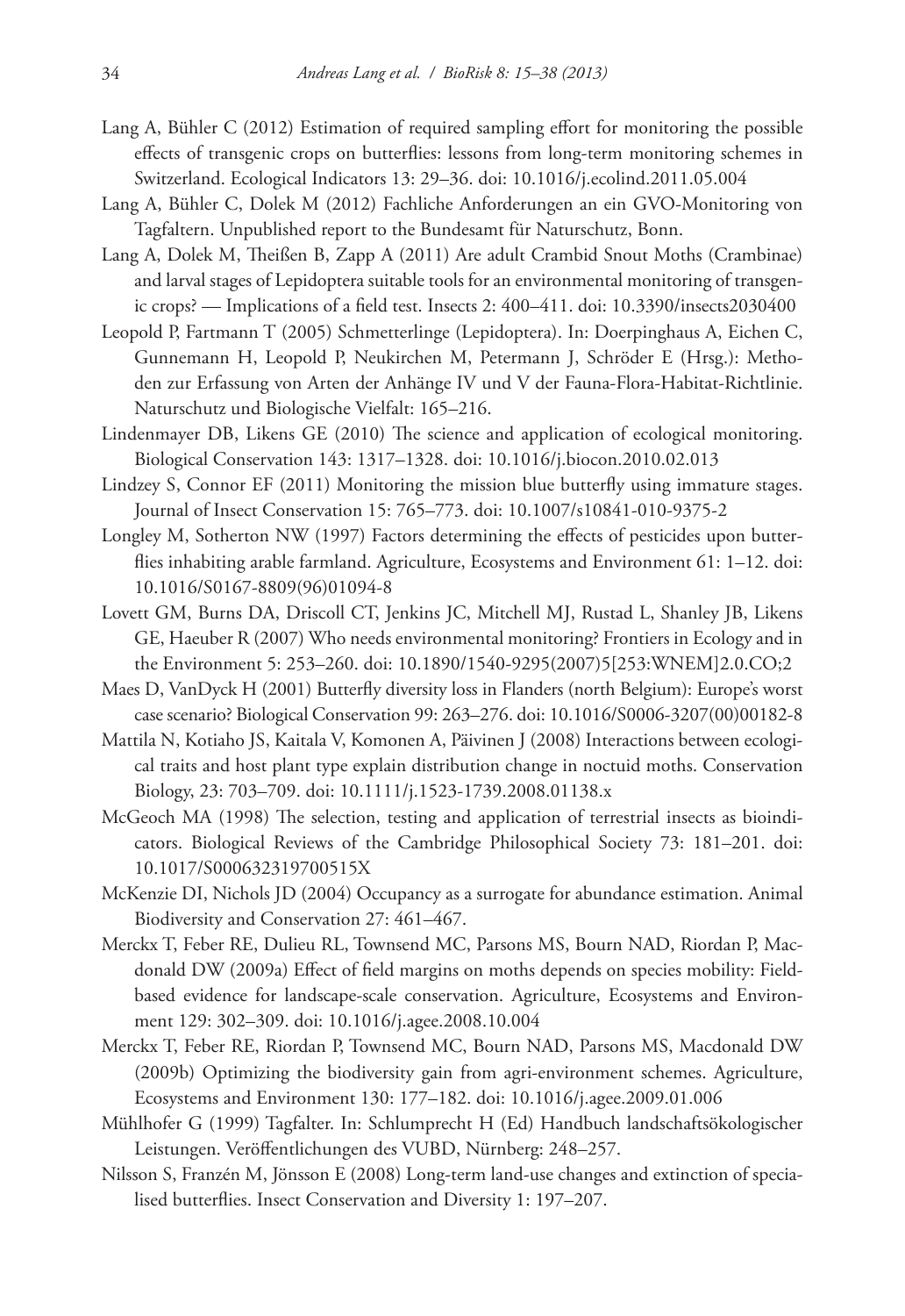- Lang A, Bühler C (2012) Estimation of required sampling effort for monitoring the possible effects of transgenic crops on butterflies: lessons from long-term monitoring schemes in Switzerland. Ecological Indicators 13: 29–36. [doi: 10.1016/j.ecolind.2011.05.004](http://dx.doi.org/10.1016/j.ecolind.2011.05.004)
- Lang A, Bühler C, Dolek M (2012) Fachliche Anforderungen an ein GVO-Monitoring von Tagfaltern. Unpublished report to the Bundesamt für Naturschutz, Bonn.
- Lang A, Dolek M, Theißen B, Zapp A (2011) Are adult Crambid Snout Moths (Crambinae) and larval stages of Lepidoptera suitable tools for an environmental monitoring of transgenic crops? — Implications of a field test. Insects 2: 400–411. [doi: 10.3390/insects2030400](http://dx.doi.org/10.3390/insects2030400)
- Leopold P, Fartmann T (2005) Schmetterlinge (Lepidoptera). In: Doerpinghaus A, Eichen C, Gunnemann H, Leopold P, Neukirchen M, Petermann J, Schröder E (Hrsg.): Methoden zur Erfassung von Arten der Anhänge IV und V der Fauna-Flora-Habitat-Richtlinie. Naturschutz und Biologische Vielfalt: 165–216.
- Lindenmayer DB, Likens GE (2010) The science and application of ecological monitoring. Biological Conservation 143: 1317–1328. [doi: 10.1016/j.biocon.2010.02.013](http://dx.doi.org/10.1016/j.biocon.2010.02.013)
- Lindzey S, Connor EF (2011) Monitoring the mission blue butterfly using immature stages. Journal of Insect Conservation 15: 765–773. [doi: 10.1007/s10841-010-9375-2](http://dx.doi.org/10.1007/s10841-010-9375-2)
- Longley M, Sotherton NW (1997) Factors determining the effects of pesticides upon butterflies inhabiting arable farmland. Agriculture, Ecosystems and Environment 61: 1–12. [doi:](http://dx.doi.org/10.1016/S0167-8809(96)01094-8) [10.1016/S0167-8809\(96\)01094-8](http://dx.doi.org/10.1016/S0167-8809(96)01094-8)
- Lovett GM, Burns DA, Driscoll CT, Jenkins JC, Mitchell MJ, Rustad L, Shanley JB, Likens GE, Haeuber R (2007) Who needs environmental monitoring? Frontiers in Ecology and in the Environment 5: 253–260. [doi: 10.1890/1540-9295\(2007\)5\[253:WNEM\]2.0.CO;2](http://dx.doi.org/10.1890/1540-9295(2007)5[253:WNEM]2.0.CO;2)
- Maes D, VanDyck H (2001) Butterfly diversity loss in Flanders (north Belgium): Europe's worst case scenario? Biological Conservation 99: 263–276. [doi: 10.1016/S0006-3207\(00\)00182-8](http://dx.doi.org/10.1016/S0006-3207(00)00182-8)
- Mattila N, Kotiaho JS, Kaitala V, Komonen A, Päivinen J (2008) Interactions between ecological traits and host plant type explain distribution change in noctuid moths. Conservation Biology, 23: 703–709. [doi: 10.1111/j.1523-1739.2008.01138.x](http://dx.doi.org/10.1111/j.1523-1739.2008.01138.x)
- McGeoch MA (1998) The selection, testing and application of terrestrial insects as bioindicators. Biological Reviews of the Cambridge Philosophical Society 73: 181–201. [doi:](http://dx.doi.org/10.1017/S000632319700515X) [10.1017/S000632319700515X](http://dx.doi.org/10.1017/S000632319700515X)
- McKenzie DI, Nichols JD (2004) Occupancy as a surrogate for abundance estimation. Animal Biodiversity and Conservation 27: 461–467.
- Merckx T, Feber RE, Dulieu RL, Townsend MC, Parsons MS, Bourn NAD, Riordan P, Macdonald DW (2009a) Effect of field margins on moths depends on species mobility: Fieldbased evidence for landscape-scale conservation. Agriculture, Ecosystems and Environment 129: 302–309. [doi: 10.1016/j.agee.2008.10.004](http://dx.doi.org/10.1016/j.agee.2008.10.004)
- Merckx T, Feber RE, Riordan P, Townsend MC, Bourn NAD, Parsons MS, Macdonald DW (2009b) Optimizing the biodiversity gain from agri-environment schemes. Agriculture, Ecosystems and Environment 130: 177–182. [doi: 10.1016/j.agee.2009.01.006](http://dx.doi.org/10.1016/j.agee.2009.01.006)
- Mühlhofer G (1999) Tagfalter. In: Schlumprecht H (Ed) Handbuch landschaftsökologischer Leistungen. Veröffentlichungen des VUBD, Nürnberg: 248–257.
- Nilsson S, Franzén M, Jönsson E (2008) Long-term land-use changes and extinction of specialised butterflies. Insect Conservation and Diversity 1: 197–207.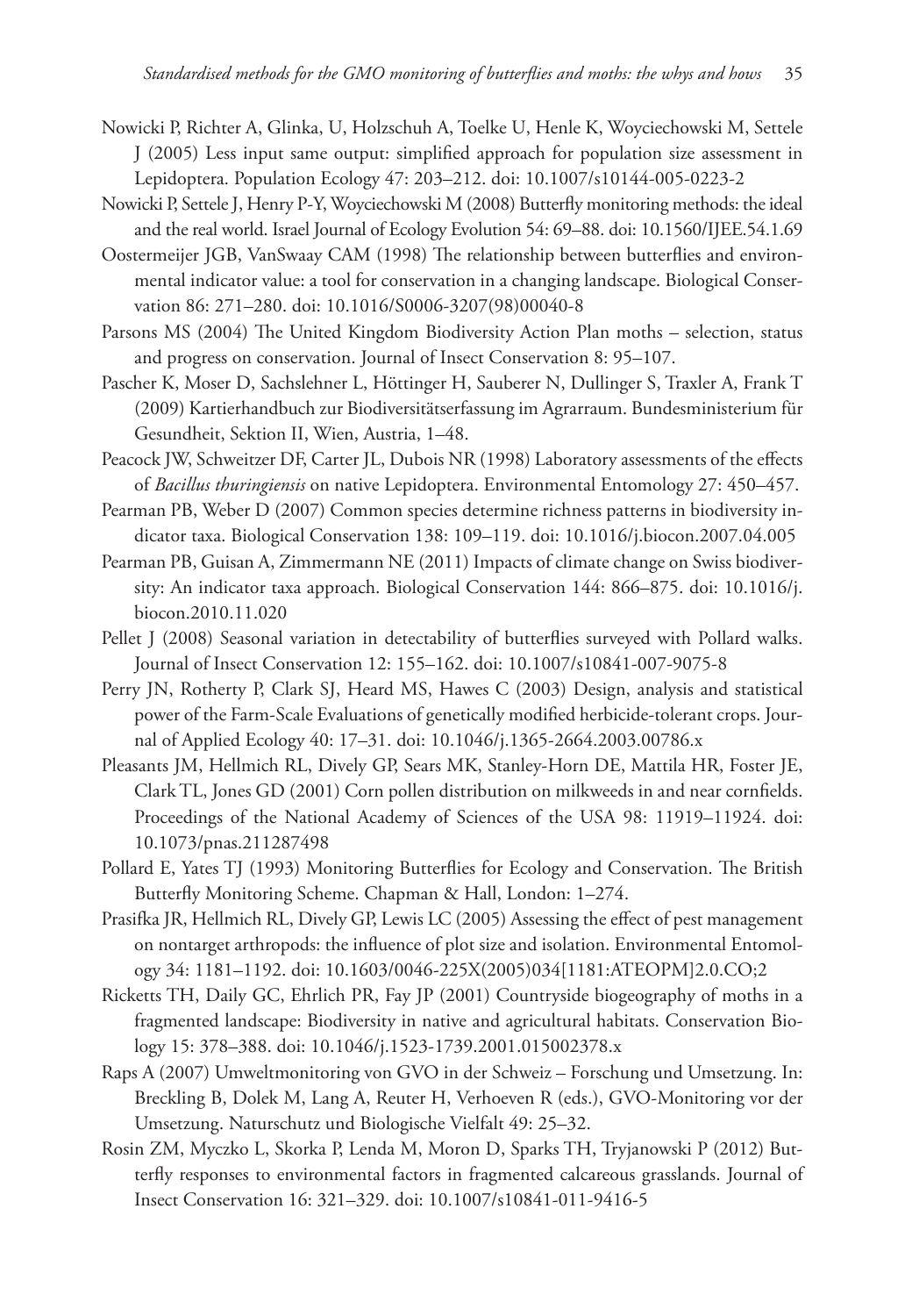- Nowicki P, Richter A, Glinka, U, Holzschuh A, Toelke U, Henle K, Woyciechowski M, Settele J (2005) Less input same output: simplified approach for population size assessment in Lepidoptera. Population Ecology 47: 203–212. [doi: 10.1007/s10144-005-0223-2](http://dx.doi.org/10.1007/s10144-005-0223-2)
- Nowicki P, Settele J, Henry P-Y, Woyciechowski M (2008) Butterfly monitoring methods: the ideal and the real world. Israel Journal of Ecology Evolution 54: 69–88. [doi: 10.1560/IJEE.54.1.69](http://dx.doi.org/10.1560/IJEE.54.1.69)
- Oostermeijer JGB, VanSwaay CAM (1998) The relationship between butterflies and environmental indicator value: a tool for conservation in a changing landscape. Biological Conservation 86: 271–280. [doi: 10.1016/S0006-3207\(98\)00040-8](http://dx.doi.org/10.1016/S0006-3207(98)00040-8)
- Parsons MS (2004) The United Kingdom Biodiversity Action Plan moths selection, status and progress on conservation. Journal of Insect Conservation 8: 95–107.
- Pascher K, Moser D, Sachslehner L, Höttinger H, Sauberer N, Dullinger S, Traxler A, Frank T (2009) Kartierhandbuch zur Biodiversitätserfassung im Agrarraum. Bundesministerium für Gesundheit, Sektion II, Wien, Austria, 1–48.
- Peacock JW, Schweitzer DF, Carter JL, Dubois NR (1998) Laboratory assessments of the effects of *Bacillus thuringiensis* on native Lepidoptera. Environmental Entomology 27: 450–457.
- Pearman PB, Weber D (2007) Common species determine richness patterns in biodiversity indicator taxa. Biological Conservation 138: 109–119. [doi: 10.1016/j.biocon.2007.04.005](http://dx.doi.org/10.1016/j.biocon.2007.04.005)
- Pearman PB, Guisan A, Zimmermann NE (2011) Impacts of climate change on Swiss biodiversity: An indicator taxa approach. Biological Conservation 144: 866–875. [doi: 10.1016/j.](http://dx.doi.org/10.1016/j.biocon.2010.11.020) [biocon.2010.11.020](http://dx.doi.org/10.1016/j.biocon.2010.11.020)
- Pellet J (2008) Seasonal variation in detectability of butterflies surveyed with Pollard walks. Journal of Insect Conservation 12: 155–162. [doi: 10.1007/s10841-007-9075-8](http://dx.doi.org/10.1007/s10841-007-9075-8)
- Perry JN, Rotherty P, Clark SJ, Heard MS, Hawes C (2003) Design, analysis and statistical power of the Farm-Scale Evaluations of genetically modified herbicide-tolerant crops. Journal of Applied Ecology 40: 17–31. [doi: 10.1046/j.1365-2664.2003.00786.x](http://dx.doi.org/10.1046/j.1365-2664.2003.00786.x)
- Pleasants JM, Hellmich RL, Dively GP, Sears MK, Stanley-Horn DE, Mattila HR, Foster JE, Clark TL, Jones GD (2001) Corn pollen distribution on milkweeds in and near cornfields. Proceedings of the National Academy of Sciences of the USA 98: 11919–11924. [doi:](http://dx.doi.org/10.1073/pnas.211287498) [10.1073/pnas.211287498](http://dx.doi.org/10.1073/pnas.211287498)
- Pollard E, Yates TJ (1993) Monitoring Butterflies for Ecology and Conservation. The British Butterfly Monitoring Scheme. Chapman & Hall, London: 1–274.
- Prasifka JR, Hellmich RL, Dively GP, Lewis LC (2005) Assessing the effect of pest management on nontarget arthropods: the influence of plot size and isolation. Environmental Entomology 34: 1181–1192. [doi: 10.1603/0046-225X\(2005\)034\[1181:ATEOPM\]2.0.CO;2](http://dx.doi.org/10.1603/0046-225X(2005)034[1181:ATEOPM]2.0.CO;2)
- Ricketts TH, Daily GC, Ehrlich PR, Fay JP (2001) Countryside biogeography of moths in a fragmented landscape: Biodiversity in native and agricultural habitats. Conservation Biology 15: 378–388. [doi: 10.1046/j.1523-1739.2001.015002378.x](http://dx.doi.org/10.1046/j.1523-1739.2001.015002378.x)
- Raps A (2007) Umweltmonitoring von GVO in der Schweiz Forschung und Umsetzung. In: Breckling B, Dolek M, Lang A, Reuter H, Verhoeven R (eds.), GVO-Monitoring vor der Umsetzung. Naturschutz und Biologische Vielfalt 49: 25–32.
- Rosin ZM, Myczko L, Skorka P, Lenda M, Moron D, Sparks TH, Tryjanowski P (2012) Butterfly responses to environmental factors in fragmented calcareous grasslands. Journal of Insect Conservation 16: 321–329. [doi: 10.1007/s10841-011-9416-5](http://dx.doi.org/10.1007/s10841-011-9416-5)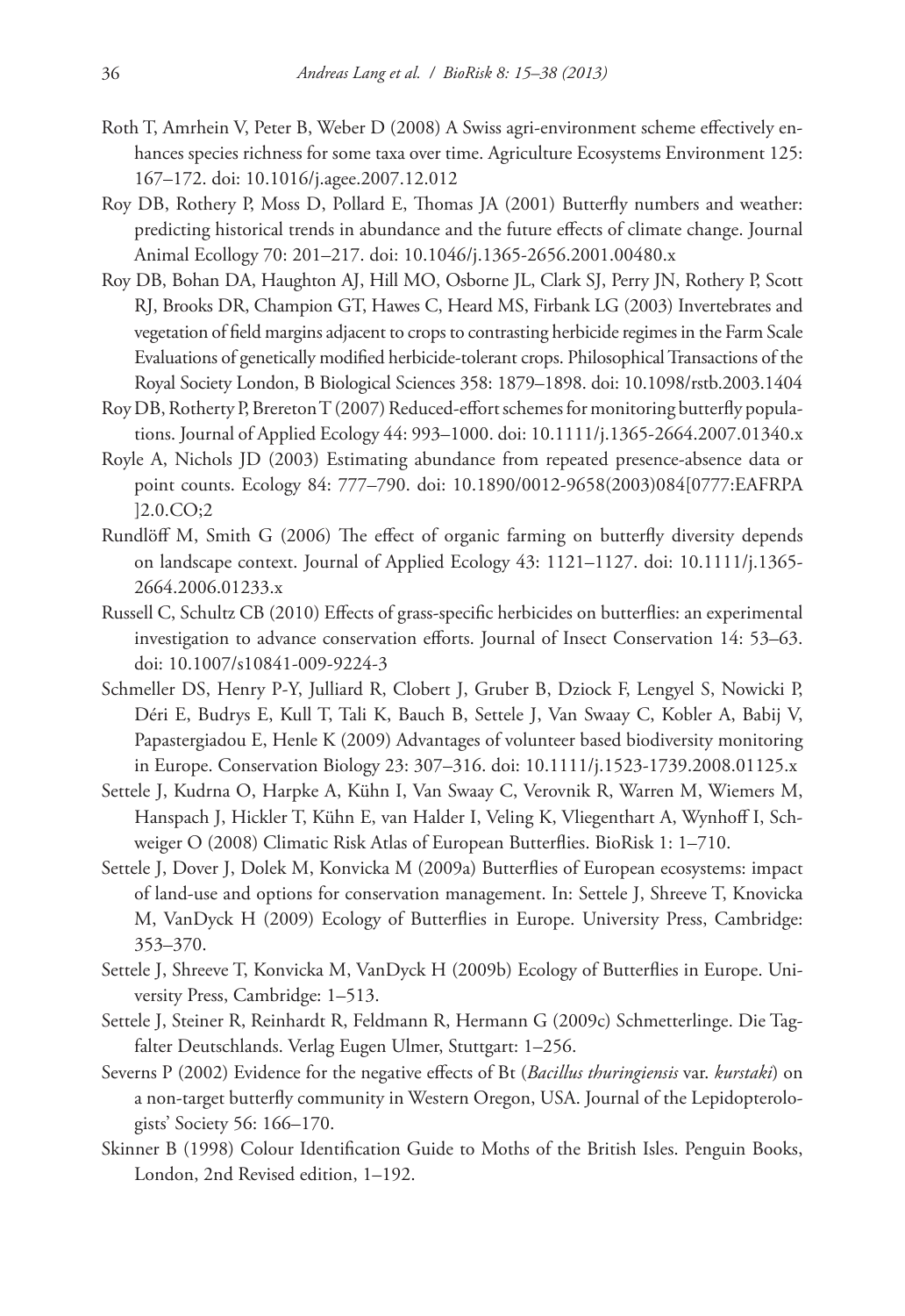- Roth T, Amrhein V, Peter B, Weber D (2008) A Swiss agri-environment scheme effectively enhances species richness for some taxa over time. Agriculture Ecosystems Environment 125: 167–172. [doi: 10.1016/j.agee.2007.12.012](http://dx.doi.org/10.1016/j.agee.2007.12.012)
- Roy DB, Rothery P, Moss D, Pollard E, Thomas JA (2001) Butterfly numbers and weather: predicting historical trends in abundance and the future effects of climate change. Journal Animal Ecollogy 70: 201–217. [doi: 10.1046/j.1365-2656.2001.00480.x](http://dx.doi.org/10.1046/j.1365-2656.2001.00480.x)
- Roy DB, Bohan DA, Haughton AJ, Hill MO, Osborne JL, Clark SJ, Perry JN, Rothery P, Scott RJ, Brooks DR, Champion GT, Hawes C, Heard MS, Firbank LG (2003) Invertebrates and vegetation of field margins adjacent to crops to contrasting herbicide regimes in the Farm Scale Evaluations of genetically modified herbicide-tolerant crops. Philosophical Transactions of the Royal Society London, B Biological Sciences 358: 1879–1898. [doi: 10.1098/rstb.2003.1404](http://dx.doi.org/10.1098/rstb.2003.1404)
- Roy DB, Rotherty P, Brereton T (2007) Reduced-effort schemes for monitoring butterfly populations. Journal of Applied Ecology 44: 993–1000. [doi: 10.1111/j.1365-2664.2007.01340.x](http://dx.doi.org/10.1111/j.1365-2664.2007.01340.x)
- Royle A, Nichols JD (2003) Estimating abundance from repeated presence-absence data or point counts. Ecology 84: 777–790. [doi: 10.1890/0012-9658\(2003\)084\[0777:EAFRPA](http://dx.doi.org/10.1890/0012-9658(2003)084[0777:EAFRPA]2.0.CO;2) [\]2.0.CO;2](http://dx.doi.org/10.1890/0012-9658(2003)084[0777:EAFRPA]2.0.CO;2)
- Rundlöff M, Smith G (2006) The effect of organic farming on butterfly diversity depends on landscape context. Journal of Applied Ecology 43: 1121–1127. [doi: 10.1111/j.1365-](http://dx.doi.org/10.1111/j.1365-2664.2006.01233.x) [2664.2006.01233.x](http://dx.doi.org/10.1111/j.1365-2664.2006.01233.x)
- Russell C, Schultz CB (2010) Effects of grass-specific herbicides on butterflies: an experimental investigation to advance conservation efforts. Journal of Insect Conservation 14: 53–63. [doi: 10.1007/s10841-009-9224-3](http://dx.doi.org/10.1007/s10841-009-9224-3)
- Schmeller DS, Henry P-Y, Julliard R, Clobert J, Gruber B, Dziock F, Lengyel S, Nowicki P, Déri E, Budrys E, Kull T, Tali K, Bauch B, Settele J, Van Swaay C, Kobler A, Babij V, Papastergiadou E, Henle K (2009) Advantages of volunteer based biodiversity monitoring in Europe. Conservation Biology 23: 307–316. [doi: 10.1111/j.1523-1739.2008.01125.x](http://dx.doi.org/10.1111/j.1523-1739.2008.01125.x)
- Settele J, Kudrna O, Harpke A, Kühn I, Van Swaay C, Verovnik R, Warren M, Wiemers M, Hanspach J, Hickler T, Kühn E, van Halder I, Veling K, Vliegenthart A, Wynhoff I, Schweiger O (2008) Climatic Risk Atlas of European Butterflies. BioRisk 1: 1–710.
- Settele J, Dover J, Dolek M, Konvicka M (2009a) Butterflies of European ecosystems: impact of land-use and options for conservation management. In: Settele J, Shreeve T, Knovicka M, VanDyck H (2009) Ecology of Butterflies in Europe. University Press, Cambridge: 353–370.
- Settele J, Shreeve T, Konvicka M, VanDyck H (2009b) Ecology of Butterflies in Europe. University Press, Cambridge: 1–513.
- Settele J, Steiner R, Reinhardt R, Feldmann R, Hermann G (2009c) Schmetterlinge. Die Tagfalter Deutschlands. Verlag Eugen Ulmer, Stuttgart: 1–256.
- Severns P (2002) Evidence for the negative effects of Bt (*Bacillus thuringiensis* var. *kurstaki*) on a non-target butterfly community in Western Oregon, USA. Journal of the Lepidopterologists' Society 56: 166–170.
- Skinner B (1998) Colour Identification Guide to Moths of the British Isles. Penguin Books, London, 2nd Revised edition, 1–192.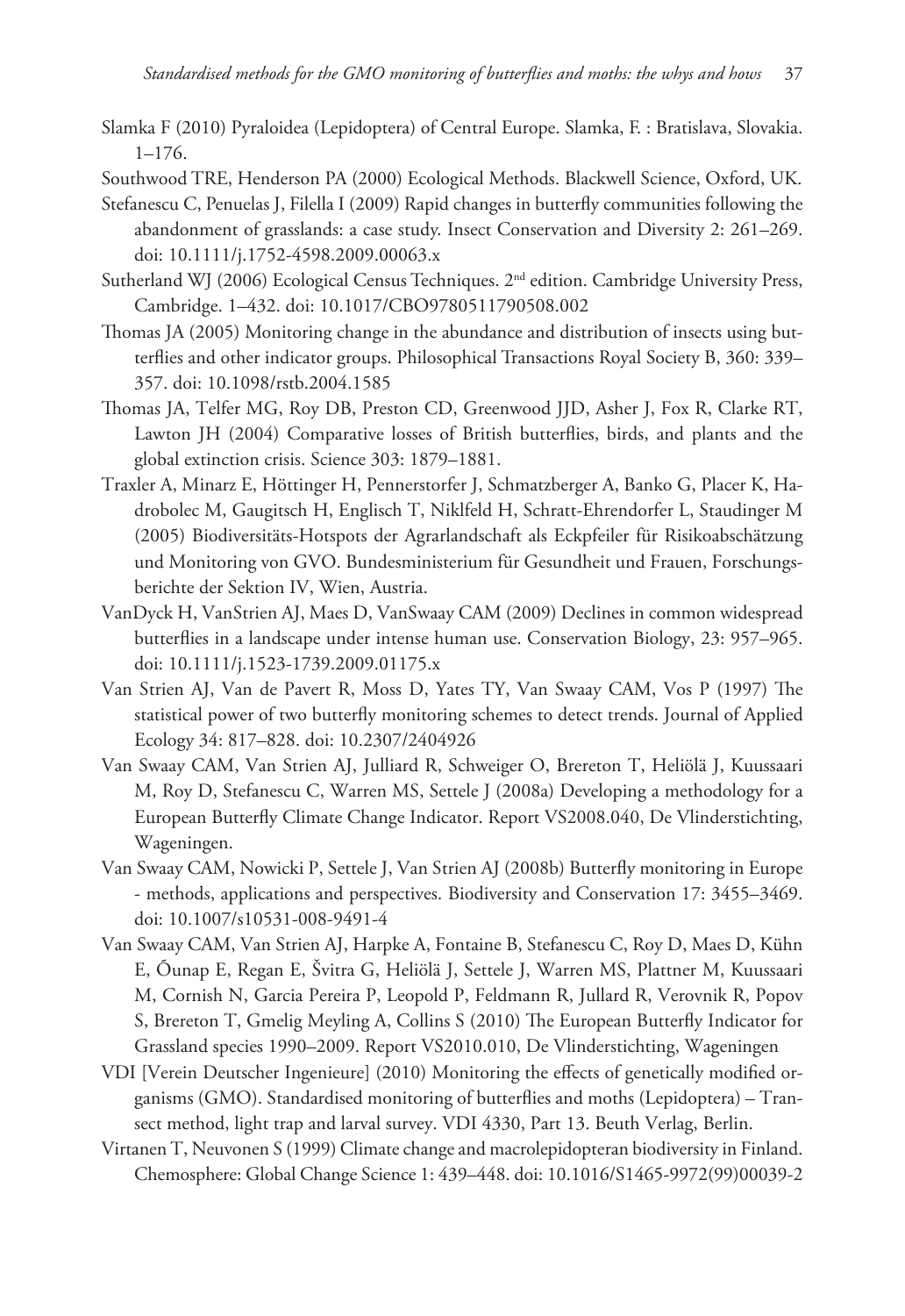Slamka F (2010) Pyraloidea (Lepidoptera) of Central Europe. Slamka, F. : Bratislava, Slovakia. 1–176.

Southwood TRE, Henderson PA (2000) Ecological Methods. Blackwell Science, Oxford, UK.

- Stefanescu C, Penuelas J, Filella I (2009) Rapid changes in butterfly communities following the abandonment of grasslands: a case study. Insect Conservation and Diversity 2: 261–269. [doi: 10.1111/j.1752-4598.2009.00063.x](http://dx.doi.org/10.1111/j.1752-4598.2009.00063.x)
- Sutherland WJ (2006) Ecological Census Techniques. 2nd edition. Cambridge University Press, Cambridge. 1–432. [doi: 10.1017/CBO9780511790508.002](http://dx.doi.org/10.1017/CBO9780511790508.002)
- Thomas JA (2005) Monitoring change in the abundance and distribution of insects using butterflies and other indicator groups. Philosophical Transactions Royal Society B, 360: 339– 357. [doi: 10.1098/rstb.2004.1585](http://dx.doi.org/10.1098/rstb.2004.1585)
- Thomas JA, Telfer MG, Roy DB, Preston CD, Greenwood JJD, Asher J, Fox R, Clarke RT, Lawton JH (2004) Comparative losses of British butterflies, birds, and plants and the global extinction crisis. Science 303: 1879–1881.
- Traxler A, Minarz E, Höttinger H, Pennerstorfer J, Schmatzberger A, Banko G, Placer K, Hadrobolec M, Gaugitsch H, Englisch T, Niklfeld H, Schratt-Ehrendorfer L, Staudinger M (2005) Biodiversitäts-Hotspots der Agrarlandschaft als Eckpfeiler für Risikoabschätzung und Monitoring von GVO. Bundesministerium für Gesundheit und Frauen, Forschungsberichte der Sektion IV, Wien, Austria.
- VanDyck H, VanStrien AJ, Maes D, VanSwaay CAM (2009) Declines in common widespread butterflies in a landscape under intense human use. Conservation Biology, 23: 957–965. [doi: 10.1111/j.1523-1739.2009.01175.x](http://dx.doi.org/10.1111/j.1523-1739.2009.01175.x)
- Van Strien AJ, Van de Pavert R, Moss D, Yates TY, Van Swaay CAM, Vos P (1997) The statistical power of two butterfly monitoring schemes to detect trends. Journal of Applied Ecology 34: 817–828. [doi: 10.2307/2404926](http://dx.doi.org/10.2307/2404926)
- Van Swaay CAM, Van Strien AJ, Julliard R, Schweiger O, Brereton T, Heliölä J, Kuussaari M, Roy D, Stefanescu C, Warren MS, Settele J (2008a) Developing a methodology for a European Butterfly Climate Change Indicator. Report VS2008.040, De Vlinderstichting, Wageningen.
- Van Swaay CAM, Nowicki P, Settele J, Van Strien AJ (2008b) Butterfly monitoring in Europe - methods, applications and perspectives. Biodiversity and Conservation 17: 3455–3469. [doi: 10.1007/s10531-008-9491-4](http://dx.doi.org/10.1007/s10531-008-9491-4)
- Van Swaay CAM, Van Strien AJ, Harpke A, Fontaine B, Stefanescu C, Roy D, Maes D, Kühn E, Õunap E, Regan E, Švitra G, Heliölä J, Settele J, Warren MS, Plattner M, Kuussaari M, Cornish N, Garcia Pereira P, Leopold P, Feldmann R, Jullard R, Verovnik R, Popov S, Brereton T, Gmelig Meyling A, Collins S (2010) The European Butterfly Indicator for Grassland species 1990–2009. Report VS2010.010, De Vlinderstichting, Wageningen
- VDI [Verein Deutscher Ingenieure] (2010) Monitoring the effects of genetically modified organisms (GMO). Standardised monitoring of butterflies and moths (Lepidoptera) – Transect method, light trap and larval survey. VDI 4330, Part 13. Beuth Verlag, Berlin.
- Virtanen T, Neuvonen S (1999) Climate change and macrolepidopteran biodiversity in Finland. Chemosphere: Global Change Science 1: 439–448. [doi: 10.1016/S1465-9972\(99\)00039-2](http://dx.doi.org/10.1016/S1465-9972(99)00039-2)